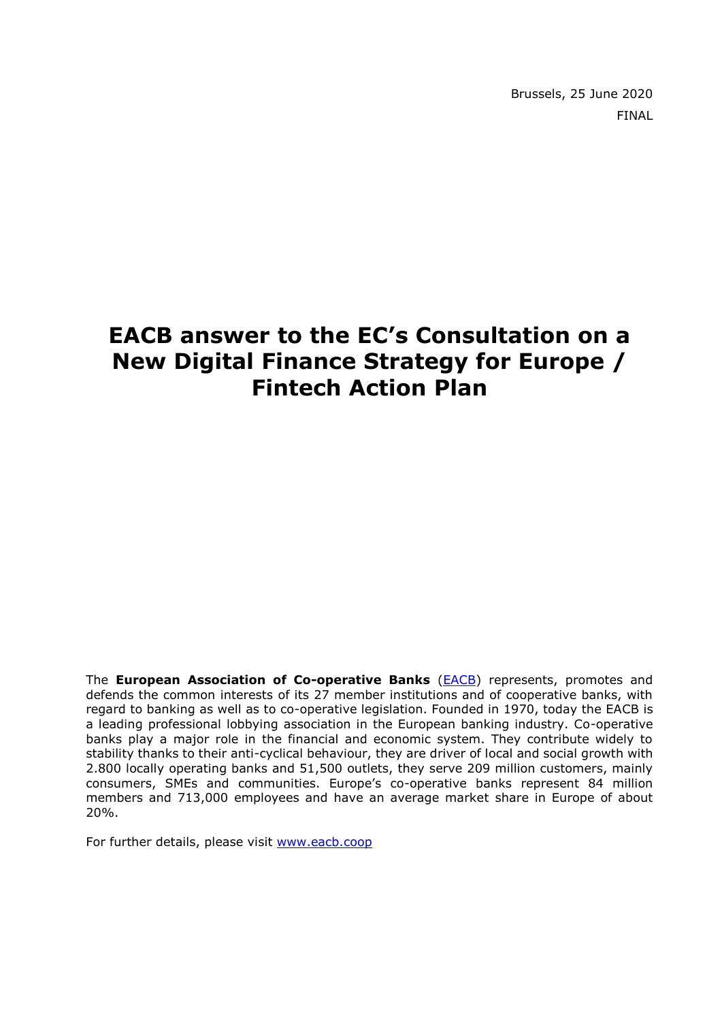Brussels, 25 June 2020 FINAL

# **EACB answer to the EC's Consultation on a New Digital Finance Strategy for Europe / Fintech Action Plan**

The **European Association of Co-operative Banks** [\(EACB\)](http://www.eacb.coop/en/home.html) represents, promotes and defends the common interests of its 27 member institutions and of cooperative banks, with regard to banking as well as to co-operative legislation. Founded in 1970, today the EACB is a leading professional lobbying association in the European banking industry. Co-operative banks play a major role in the financial and economic system. They contribute widely to stability thanks to their anti-cyclical behaviour, they are driver of local and social growth with 2.800 locally operating banks and 51,500 outlets, they serve 209 million customers, mainly consumers, SMEs and communities. Europe's co-operative banks represent 84 million members and 713,000 employees and have an average market share in Europe of about 20%.

For further details, please visit [www.eacb.coop](http://www.eacb.coop/)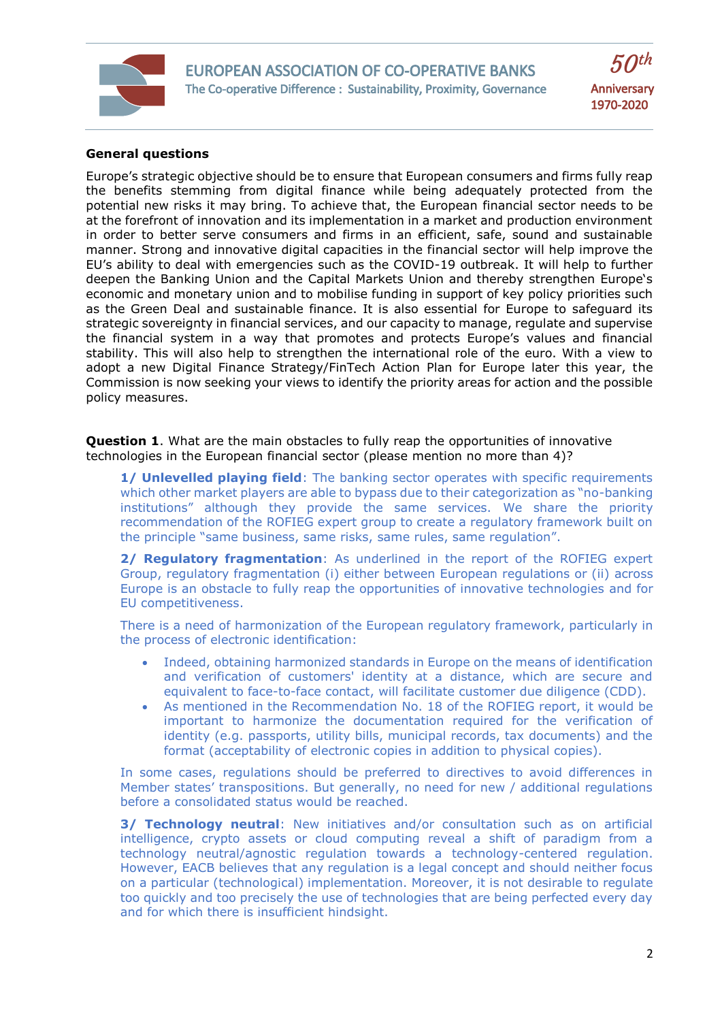

## **General questions**

Europe's strategic objective should be to ensure that European consumers and firms fully reap the benefits stemming from digital finance while being adequately protected from the potential new risks it may bring. To achieve that, the European financial sector needs to be at the forefront of innovation and its implementation in a market and production environment in order to better serve consumers and firms in an efficient, safe, sound and sustainable manner. Strong and innovative digital capacities in the financial sector will help improve the EU's ability to deal with emergencies such as the COVID-19 outbreak. It will help to further deepen the Banking Union and the Capital Markets Union and thereby strengthen Europe's economic and monetary union and to mobilise funding in support of key policy priorities such as the Green Deal and sustainable finance. It is also essential for Europe to safeguard its strategic sovereignty in financial services, and our capacity to manage, regulate and supervise the financial system in a way that promotes and protects Europe's values and financial stability. This will also help to strengthen the international role of the euro. With a view to adopt a new Digital Finance Strategy/FinTech Action Plan for Europe later this year, the Commission is now seeking your views to identify the priority areas for action and the possible policy measures.

**Question 1**. What are the main obstacles to fully reap the opportunities of innovative technologies in the European financial sector (please mention no more than 4)?

**1/ Unlevelled playing field:** The banking sector operates with specific requirements which other market players are able to bypass due to their categorization as "no-banking institutions" although they provide the same services. We share the priority recommendation of the ROFIEG expert group to create a regulatory framework built on the principle "same business, same risks, same rules, same regulation".

**2/ Regulatory fragmentation**: As underlined in the report of the ROFIEG expert Group, regulatory fragmentation (i) either between European regulations or (ii) across Europe is an obstacle to fully reap the opportunities of innovative technologies and for EU competitiveness.

There is a need of harmonization of the European regulatory framework, particularly in the process of electronic identification:

- Indeed, obtaining harmonized standards in Europe on the means of identification and verification of customers' identity at a distance, which are secure and equivalent to face-to-face contact, will facilitate customer due diligence (CDD).
- As mentioned in the Recommendation No. 18 of the ROFIEG report, it would be important to harmonize the documentation required for the verification of identity (e.g. passports, utility bills, municipal records, tax documents) and the format (acceptability of electronic copies in addition to physical copies).

In some cases, regulations should be preferred to directives to avoid differences in Member states' transpositions. But generally, no need for new / additional regulations before a consolidated status would be reached.

**3/ Technology neutral**: New initiatives and/or consultation such as on artificial intelligence, crypto assets or cloud computing reveal a shift of paradigm from a technology neutral/agnostic regulation towards a technology-centered regulation. However, EACB believes that any regulation is a legal concept and should neither focus on a particular (technological) implementation. Moreover, it is not desirable to regulate too quickly and too precisely the use of technologies that are being perfected every day and for which there is insufficient hindsight.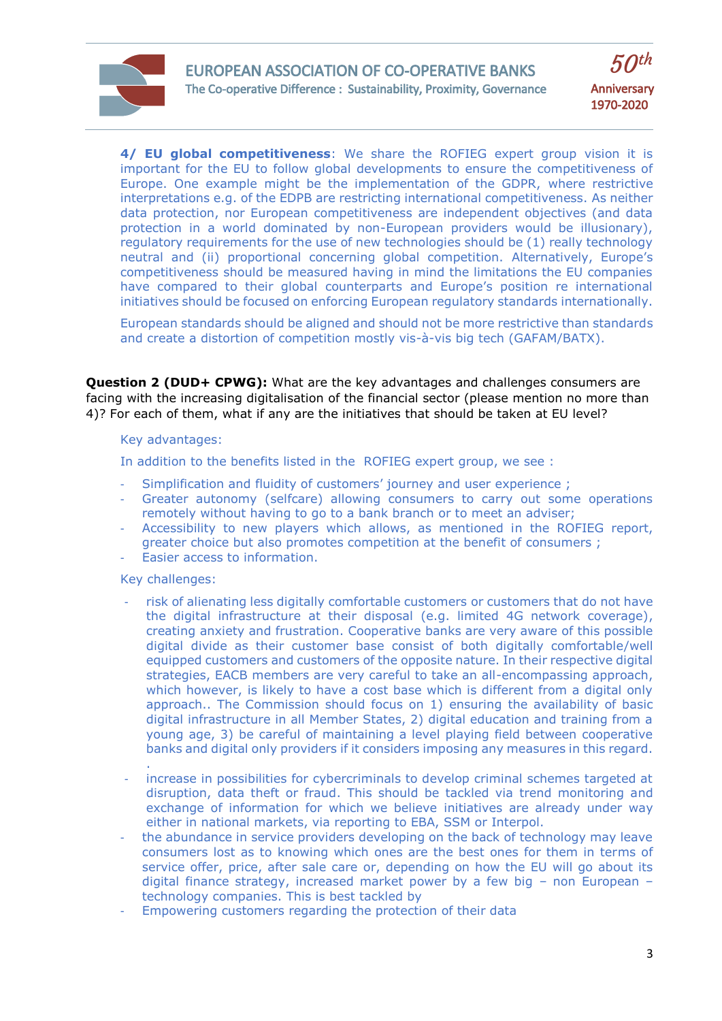

**4/ EU global competitiveness**: We share the ROFIEG expert group vision it is important for the EU to follow global developments to ensure the competitiveness of Europe. One example might be the implementation of the GDPR, where restrictive interpretations e.g. of the EDPB are restricting international competitiveness. As neither data protection, nor European competitiveness are independent objectives (and data protection in a world dominated by non-European providers would be illusionary), regulatory requirements for the use of new technologies should be (1) really technology neutral and (ii) proportional concerning global competition. Alternatively, Europe's competitiveness should be measured having in mind the limitations the EU companies have compared to their global counterparts and Europe's position re international initiatives should be focused on enforcing European regulatory standards internationally.

European standards should be aligned and should not be more restrictive than standards and create a distortion of competition mostly vis-à-vis big tech (GAFAM/BATX).

**Question 2 (DUD+ CPWG):** What are the key advantages and challenges consumers are facing with the increasing digitalisation of the financial sector (please mention no more than 4)? For each of them, what if any are the initiatives that should be taken at EU level?

#### Key advantages:

In addition to the benefits listed in the ROFIEG expert group, we see :

- Simplification and fluidity of customers' journey and user experience;
- Greater autonomy (selfcare) allowing consumers to carry out some operations remotely without having to go to a bank branch or to meet an adviser;
- Accessibility to new players which allows, as mentioned in the ROFIEG report, greater choice but also promotes competition at the benefit of consumers ;
- Easier access to information.

# Key challenges:

.

- risk of alienating less digitally comfortable customers or customers that do not have the digital infrastructure at their disposal (e.g. limited 4G network coverage), creating anxiety and frustration. Cooperative banks are very aware of this possible digital divide as their customer base consist of both digitally comfortable/well equipped customers and customers of the opposite nature. In their respective digital strategies, EACB members are very careful to take an all-encompassing approach, which however, is likely to have a cost base which is different from a digital only approach.. The Commission should focus on 1) ensuring the availability of basic digital infrastructure in all Member States, 2) digital education and training from a young age, 3) be careful of maintaining a level playing field between cooperative banks and digital only providers if it considers imposing any measures in this regard.
- increase in possibilities for cybercriminals to develop criminal schemes targeted at disruption, data theft or fraud. This should be tackled via trend monitoring and exchange of information for which we believe initiatives are already under way either in national markets, via reporting to EBA, SSM or Interpol.
- the abundance in service providers developing on the back of technology may leave consumers lost as to knowing which ones are the best ones for them in terms of service offer, price, after sale care or, depending on how the EU will go about its digital finance strategy, increased market power by a few big – non European – technology companies. This is best tackled by
- Empowering customers regarding the protection of their data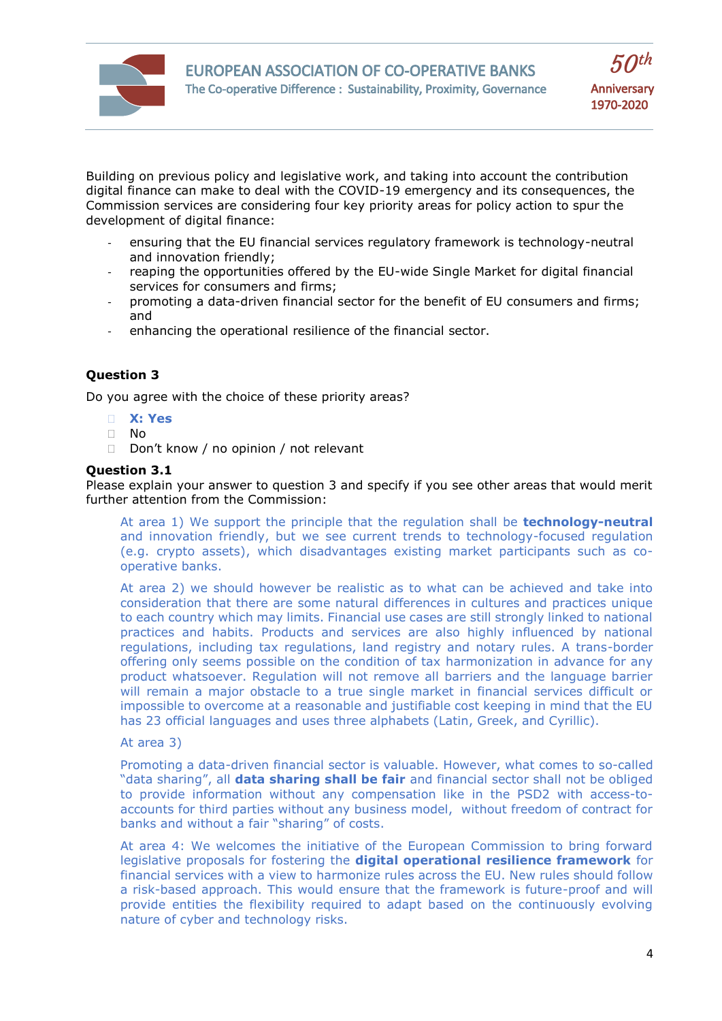

Building on previous policy and legislative work, and taking into account the contribution digital finance can make to deal with the COVID-19 emergency and its consequences, the Commission services are considering four key priority areas for policy action to spur the development of digital finance:

- ensuring that the EU financial services regulatory framework is technology-neutral and innovation friendly;
- reaping the opportunities offered by the EU-wide Single Market for digital financial services for consumers and firms;
- promoting a data-driven financial sector for the benefit of EU consumers and firms; and
- enhancing the operational resilience of the financial sector.

# **Question 3**

Do you agree with the choice of these priority areas?

- **X: Yes**
- $\Box$  No
- Don't know / no opinion / not relevant

## **Question 3.1**

Please explain your answer to question 3 and specify if you see other areas that would merit further attention from the Commission:

At area 1) We support the principle that the regulation shall be **technology-neutral** and innovation friendly, but we see current trends to technology-focused regulation (e.g. crypto assets), which disadvantages existing market participants such as cooperative banks.

At area 2) we should however be realistic as to what can be achieved and take into consideration that there are some natural differences in cultures and practices unique to each country which may limits. Financial use cases are still strongly linked to national practices and habits. Products and services are also highly influenced by national regulations, including tax regulations, land registry and notary rules. A trans-border offering only seems possible on the condition of tax harmonization in advance for any product whatsoever. Regulation will not remove all barriers and the language barrier will remain a major obstacle to a true single market in financial services difficult or impossible to overcome at a reasonable and justifiable cost keeping in mind that the EU has 23 official languages and uses three alphabets (Latin, Greek, and Cyrillic).

## At area 3)

Promoting a data-driven financial sector is valuable. However, what comes to so-called "data sharing", all **data sharing shall be fair** and financial sector shall not be obliged to provide information without any compensation like in the PSD2 with access-toaccounts for third parties without any business model, without freedom of contract for banks and without a fair "sharing" of costs.

At area 4: We welcomes the initiative of the European Commission to bring forward legislative proposals for fostering the **digital operational resilience framework** for financial services with a view to harmonize rules across the EU. New rules should follow a risk-based approach. This would ensure that the framework is future-proof and will provide entities the flexibility required to adapt based on the continuously evolving nature of cyber and technology risks.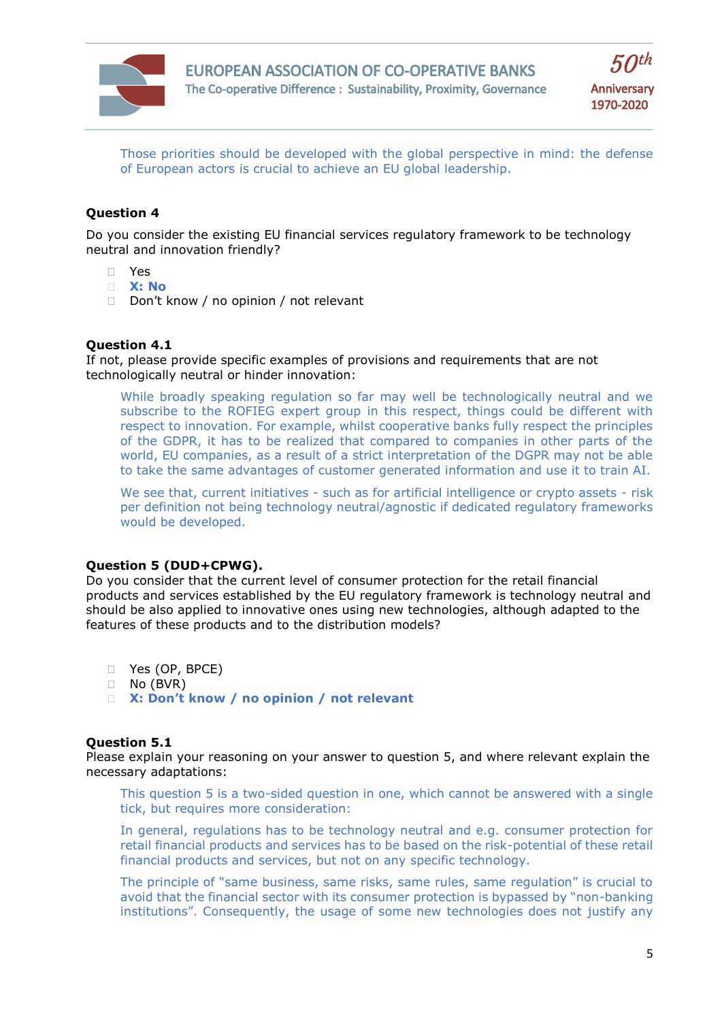

 $50<sup>th</sup>$ **Anniversary** 1970-2020

Those priorities should be developed with the global perspective in mind: the defense of European actors is crucial to achieve an EU global leadership.

# **Question 4**

Do you consider the existing EU financial services regulatory framework to be technology neutral and innovation friendly?

- Yes
- **X: No**
- Don't know / no opinion / not relevant

## **Question 4.1**

If not, please provide specific examples of provisions and requirements that are not technologically neutral or hinder innovation:

While broadly speaking regulation so far may well be technologically neutral and we subscribe to the ROFIEG expert group in this respect, things could be different with respect to innovation. For example, whilst cooperative banks fully respect the principles of the GDPR, it has to be realized that compared to companies in other parts of the world, EU companies, as a result of a strict interpretation of the DGPR may not be able to take the same advantages of customer generated information and use it to train AI.

We see that, current initiatives - such as for artificial intelligence or crypto assets - risk per definition not being technology neutral/agnostic if dedicated regulatory frameworks would be developed.

# **Question 5 (DUD+CPWG).**

Do you consider that the current level of consumer protection for the retail financial products and services established by the EU regulatory framework is technology neutral and should be also applied to innovative ones using new technologies, although adapted to the features of these products and to the distribution models?

- Yes (OP, BPCE)
- No (BVR)
- **X: Don't know / no opinion / not relevant**

#### **Question 5.1**

Please explain your reasoning on your answer to question 5, and where relevant explain the necessary adaptations:

This question 5 is a two-sided question in one, which cannot be answered with a single tick, but requires more consideration:

In general, regulations has to be technology neutral and e.g. consumer protection for retail financial products and services has to be based on the risk-potential of these retail financial products and services, but not on any specific technology.

The principle of "same business, same risks, same rules, same regulation" is crucial to avoid that the financial sector with its consumer protection is bypassed by "non-banking institutions". Consequently, the usage of some new technologies does not justify any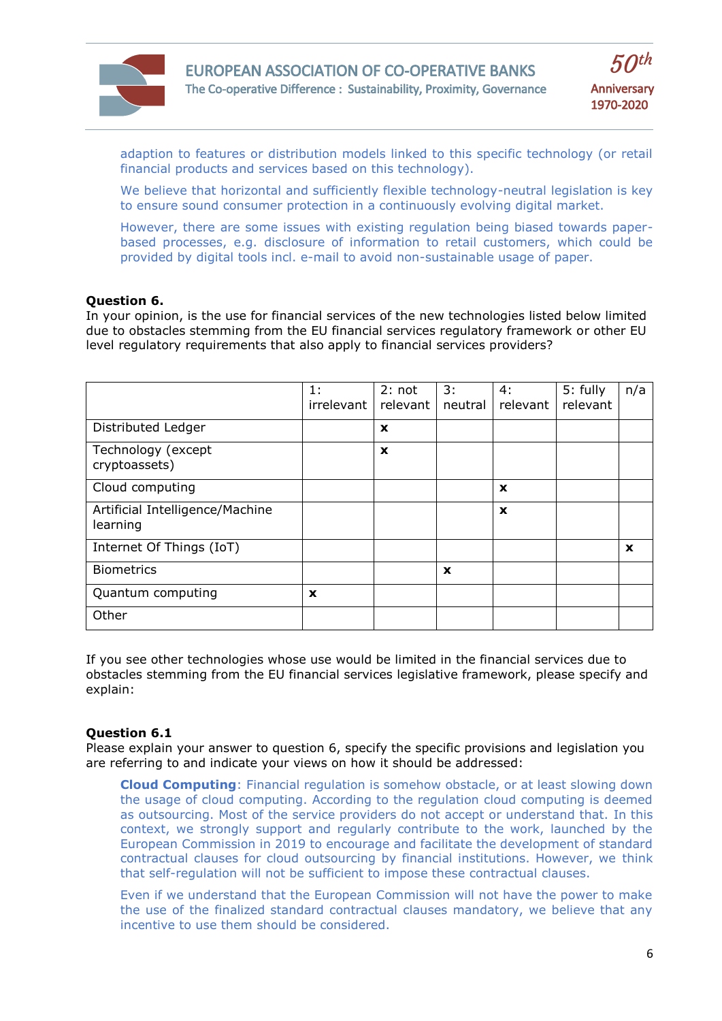

adaption to features or distribution models linked to this specific technology (or retail financial products and services based on this technology).

We believe that horizontal and sufficiently flexible technology-neutral legislation is key to ensure sound consumer protection in a continuously evolving digital market.

However, there are some issues with existing regulation being biased towards paperbased processes, e.g. disclosure of information to retail customers, which could be provided by digital tools incl. e-mail to avoid non-sustainable usage of paper.

#### **Question 6.**

In your opinion, is the use for financial services of the new technologies listed below limited due to obstacles stemming from the EU financial services regulatory framework or other EU level regulatory requirements that also apply to financial services providers?

|                                             | 1:<br>irrelevant | 2: not<br>relevant | 3:<br>neutral | 4:<br>relevant | 5: fully<br>relevant | n/a         |
|---------------------------------------------|------------------|--------------------|---------------|----------------|----------------------|-------------|
| Distributed Ledger                          |                  | $\mathbf x$        |               |                |                      |             |
| Technology (except<br>cryptoassets)         |                  | $\mathbf x$        |               |                |                      |             |
| Cloud computing                             |                  |                    |               | $\mathbf x$    |                      |             |
| Artificial Intelligence/Machine<br>learning |                  |                    |               | $\mathbf x$    |                      |             |
| Internet Of Things (IoT)                    |                  |                    |               |                |                      | $\mathbf x$ |
| <b>Biometrics</b>                           |                  |                    | X             |                |                      |             |
| Quantum computing                           | $\mathbf x$      |                    |               |                |                      |             |
| Other                                       |                  |                    |               |                |                      |             |

If you see other technologies whose use would be limited in the financial services due to obstacles stemming from the EU financial services legislative framework, please specify and explain:

#### **Question 6.1**

Please explain your answer to question 6, specify the specific provisions and legislation you are referring to and indicate your views on how it should be addressed:

**Cloud Computing**: Financial regulation is somehow obstacle, or at least slowing down the usage of cloud computing. According to the regulation cloud computing is deemed as outsourcing. Most of the service providers do not accept or understand that. In this context, we strongly support and regularly contribute to the work, launched by the European Commission in 2019 to encourage and facilitate the development of standard contractual clauses for cloud outsourcing by financial institutions. However, we think that self-regulation will not be sufficient to impose these contractual clauses.

Even if we understand that the European Commission will not have the power to make the use of the finalized standard contractual clauses mandatory, we believe that any incentive to use them should be considered.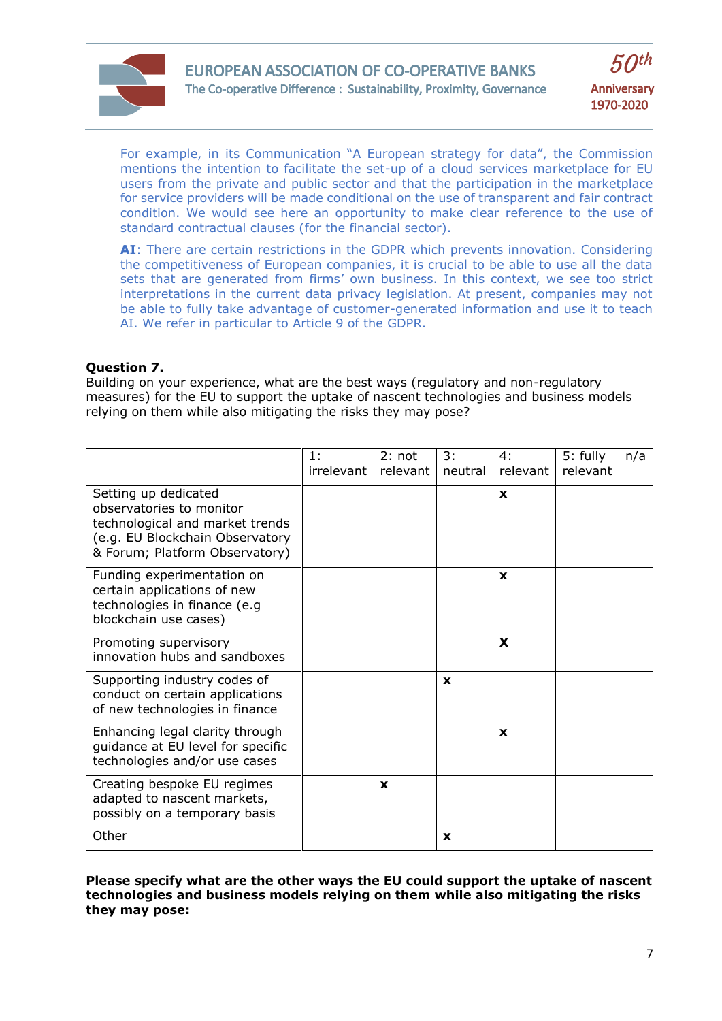



For example, in its Communication "A European strategy for data", the Commission mentions the intention to facilitate the set-up of a cloud services marketplace for EU users from the private and public sector and that the participation in the marketplace for service providers will be made conditional on the use of transparent and fair contract condition. We would see here an opportunity to make clear reference to the use of standard contractual clauses (for the financial sector).

**AI**: There are certain restrictions in the GDPR which prevents innovation. Considering the competitiveness of European companies, it is crucial to be able to use all the data sets that are generated from firms' own business. In this context, we see too strict interpretations in the current data privacy legislation. At present, companies may not be able to fully take advantage of customer-generated information and use it to teach AI. We refer in particular to Article 9 of the GDPR.

## **Question 7.**

Building on your experience, what are the best ways (regulatory and non-regulatory measures) for the EU to support the uptake of nascent technologies and business models relying on them while also mitigating the risks they may pose?

|                                                                                                                                                          | 1:<br>irrelevant | 2: not<br>relevant | 3:<br>neutral | 4:<br>relevant | 5: fully<br>relevant | n/a |
|----------------------------------------------------------------------------------------------------------------------------------------------------------|------------------|--------------------|---------------|----------------|----------------------|-----|
| Setting up dedicated<br>observatories to monitor<br>technological and market trends<br>(e.g. EU Blockchain Observatory<br>& Forum; Platform Observatory) |                  |                    |               | X              |                      |     |
| Funding experimentation on<br>certain applications of new<br>technologies in finance (e.g<br>blockchain use cases)                                       |                  |                    |               | X              |                      |     |
| Promoting supervisory<br>innovation hubs and sandboxes                                                                                                   |                  |                    |               | X              |                      |     |
| Supporting industry codes of<br>conduct on certain applications<br>of new technologies in finance                                                        |                  |                    | X             |                |                      |     |
| Enhancing legal clarity through<br>guidance at EU level for specific<br>technologies and/or use cases                                                    |                  |                    |               | $\mathbf{x}$   |                      |     |
| Creating bespoke EU regimes<br>adapted to nascent markets,<br>possibly on a temporary basis                                                              |                  | X                  |               |                |                      |     |
| Other                                                                                                                                                    |                  |                    | X             |                |                      |     |

**Please specify what are the other ways the EU could support the uptake of nascent technologies and business models relying on them while also mitigating the risks they may pose:**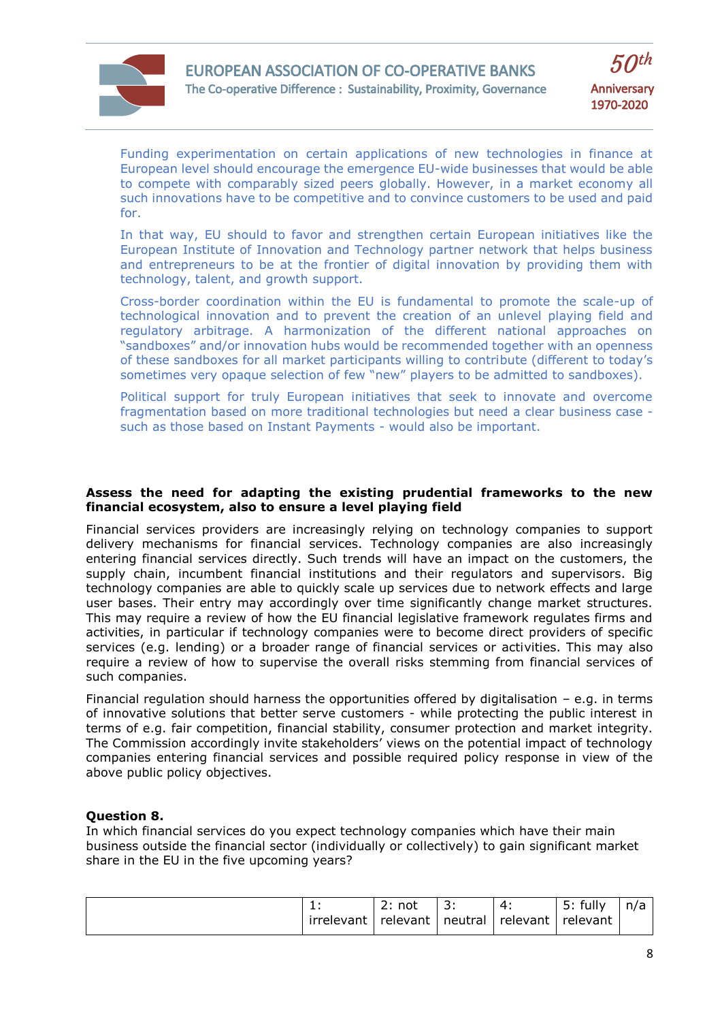

Funding experimentation on certain applications of new technologies in finance at European level should encourage the emergence EU-wide businesses that would be able to compete with comparably sized peers globally. However, in a market economy all such innovations have to be competitive and to convince customers to be used and paid for.

In that way, EU should to favor and strengthen certain European initiatives like the European Institute of Innovation and Technology partner network that helps business and entrepreneurs to be at the frontier of digital innovation by providing them with technology, talent, and growth support.

Cross-border coordination within the EU is fundamental to promote the scale-up of technological innovation and to prevent the creation of an unlevel playing field and regulatory arbitrage. A harmonization of the different national approaches on "sandboxes" and/or innovation hubs would be recommended together with an openness of these sandboxes for all market participants willing to contribute (different to today's sometimes very opaque selection of few "new" players to be admitted to sandboxes).

Political support for truly European initiatives that seek to innovate and overcome fragmentation based on more traditional technologies but need a clear business case such as those based on Instant Payments - would also be important.

## **Assess the need for adapting the existing prudential frameworks to the new financial ecosystem, also to ensure a level playing field**

Financial services providers are increasingly relying on technology companies to support delivery mechanisms for financial services. Technology companies are also increasingly entering financial services directly. Such trends will have an impact on the customers, the supply chain, incumbent financial institutions and their regulators and supervisors. Big technology companies are able to quickly scale up services due to network effects and large user bases. Their entry may accordingly over time significantly change market structures. This may require a review of how the EU financial legislative framework regulates firms and activities, in particular if technology companies were to become direct providers of specific services (e.g. lending) or a broader range of financial services or activities. This may also require a review of how to supervise the overall risks stemming from financial services of such companies.

Financial regulation should harness the opportunities offered by digitalisation – e.g. in terms of innovative solutions that better serve customers - while protecting the public interest in terms of e.g. fair competition, financial stability, consumer protection and market integrity. The Commission accordingly invite stakeholders' views on the potential impact of technology companies entering financial services and possible required policy response in view of the above public policy objectives.

# **Question 8.**

In which financial services do you expect technology companies which have their main business outside the financial sector (individually or collectively) to gain significant market share in the EU in the five upcoming years?

| . .        | nnt.<br>טעו<br><u>.</u> | <u>.</u> |          | fully<br>. .<br>J. | n/a |
|------------|-------------------------|----------|----------|--------------------|-----|
| irrelevant | relevant                | neutral  | relevant | relevant           |     |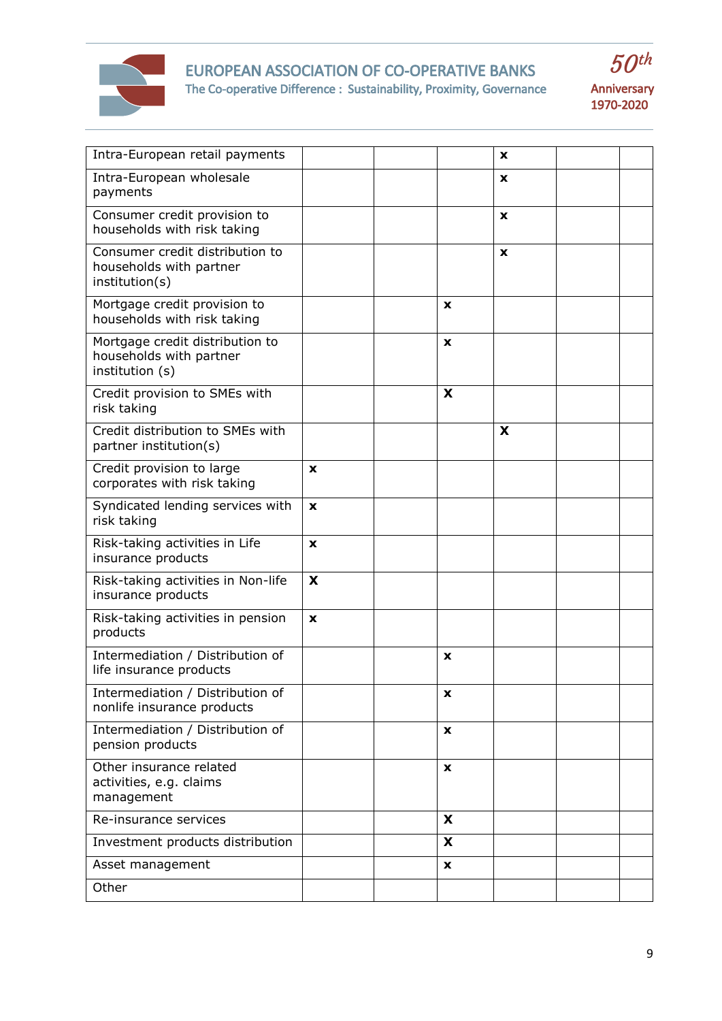

# EUROPEAN ASSOCIATION OF CO-OPERATIVE BANKS The Co-operative Difference : Sustainability, Proximity, Governance





| Intra-European retail payments                                                |             |                    | x |  |
|-------------------------------------------------------------------------------|-------------|--------------------|---|--|
| Intra-European wholesale<br>payments                                          |             |                    | X |  |
| Consumer credit provision to<br>households with risk taking                   |             |                    | X |  |
| Consumer credit distribution to<br>households with partner<br>institution(s)  |             |                    | X |  |
| Mortgage credit provision to<br>households with risk taking                   |             | X                  |   |  |
| Mortgage credit distribution to<br>households with partner<br>institution (s) |             | $\pmb{\mathsf{x}}$ |   |  |
| Credit provision to SMEs with<br>risk taking                                  |             | X                  |   |  |
| Credit distribution to SMEs with<br>partner institution(s)                    |             |                    | X |  |
| Credit provision to large<br>corporates with risk taking                      | $\mathbf x$ |                    |   |  |
| Syndicated lending services with<br>risk taking                               | X           |                    |   |  |
| Risk-taking activities in Life<br>insurance products                          | $\mathbf x$ |                    |   |  |
| Risk-taking activities in Non-life<br>insurance products                      | X           |                    |   |  |
| Risk-taking activities in pension<br>products                                 | X           |                    |   |  |
| Intermediation / Distribution of<br>life insurance products                   |             | X                  |   |  |
| Intermediation / Distribution of<br>nonlife insurance products                |             | x                  |   |  |
| Intermediation / Distribution of<br>pension products                          |             | $\mathbf{x}$       |   |  |
| Other insurance related<br>activities, e.g. claims<br>management              |             | $\pmb{\mathsf{x}}$ |   |  |
| Re-insurance services                                                         |             | X                  |   |  |
| Investment products distribution                                              |             | X                  |   |  |
| Asset management                                                              |             | X                  |   |  |
| Other                                                                         |             |                    |   |  |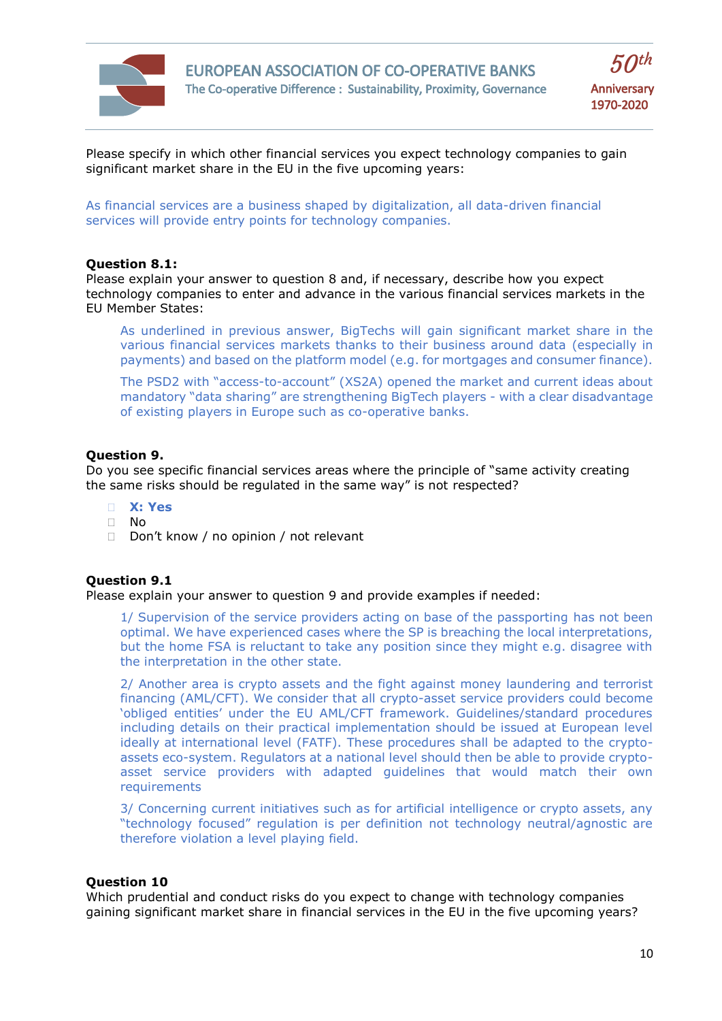



Please specify in which other financial services you expect technology companies to gain significant market share in the EU in the five upcoming years:

As financial services are a business shaped by digitalization, all data-driven financial services will provide entry points for technology companies.

#### **Question 8.1:**

Please explain your answer to question 8 and, if necessary, describe how you expect technology companies to enter and advance in the various financial services markets in the EU Member States:

As underlined in previous answer, BigTechs will gain significant market share in the various financial services markets thanks to their business around data (especially in payments) and based on the platform model (e.g. for mortgages and consumer finance).

The PSD2 with "access-to-account" (XS2A) opened the market and current ideas about mandatory "data sharing" are strengthening BigTech players - with a clear disadvantage of existing players in Europe such as co-operative banks.

#### **Question 9.**

Do you see specific financial services areas where the principle of "same activity creating the same risks should be regulated in the same way" is not respected?

- **X: Yes**
- $\Box$  No
- D Don't know / no opinion / not relevant

#### **Question 9.1**

Please explain your answer to question 9 and provide examples if needed:

1/ Supervision of the service providers acting on base of the passporting has not been optimal. We have experienced cases where the SP is breaching the local interpretations, but the home FSA is reluctant to take any position since they might e.g. disagree with the interpretation in the other state.

2/ Another area is crypto assets and the fight against money laundering and terrorist financing (AML/CFT). We consider that all crypto-asset service providers could become 'obliged entities' under the EU AML/CFT framework. Guidelines/standard procedures including details on their practical implementation should be issued at European level ideally at international level (FATF). These procedures shall be adapted to the cryptoassets eco-system. Regulators at a national level should then be able to provide cryptoasset service providers with adapted guidelines that would match their own requirements

3/ Concerning current initiatives such as for artificial intelligence or crypto assets, any "technology focused" regulation is per definition not technology neutral/agnostic are therefore violation a level playing field.

## **Question 10**

Which prudential and conduct risks do you expect to change with technology companies gaining significant market share in financial services in the EU in the five upcoming years?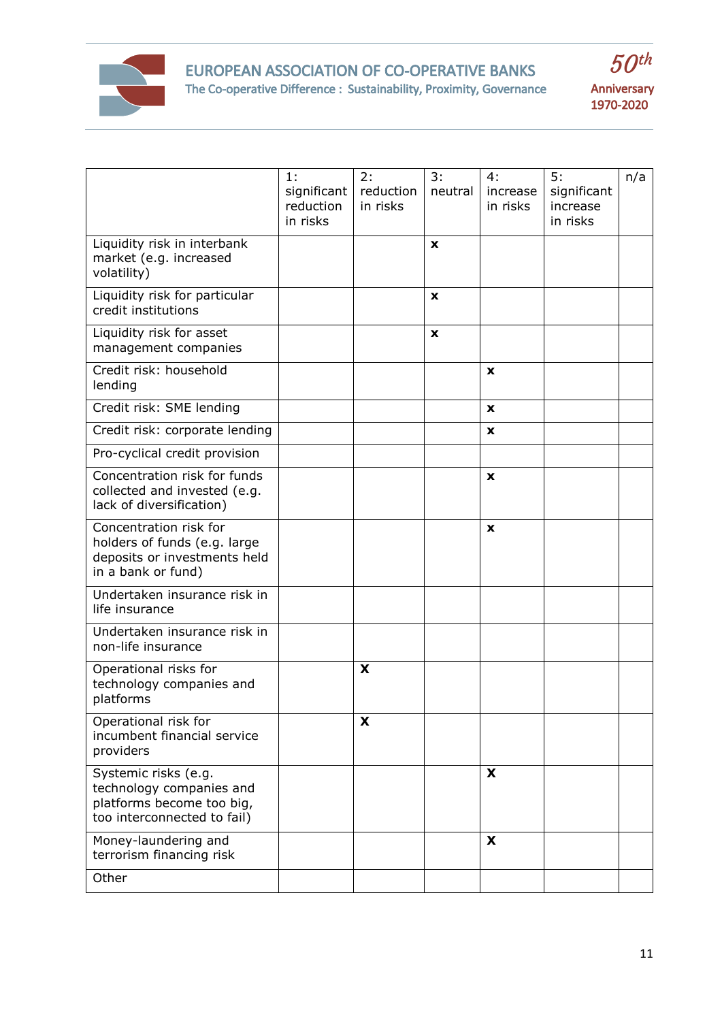



|                                                                                                              | 1:<br>significant<br>reduction<br>in risks | 2:<br>reduction<br>in risks | 3:<br>neutral | 4:<br>increase<br>in risks | 5:<br>significant<br>increase<br>in risks | n/a |
|--------------------------------------------------------------------------------------------------------------|--------------------------------------------|-----------------------------|---------------|----------------------------|-------------------------------------------|-----|
| Liquidity risk in interbank<br>market (e.g. increased<br>volatility)                                         |                                            |                             | X             |                            |                                           |     |
| Liquidity risk for particular<br>credit institutions                                                         |                                            |                             | X             |                            |                                           |     |
| Liquidity risk for asset<br>management companies                                                             |                                            |                             | $\mathbf x$   |                            |                                           |     |
| Credit risk: household<br>lending                                                                            |                                            |                             |               | X                          |                                           |     |
| Credit risk: SME lending                                                                                     |                                            |                             |               | X                          |                                           |     |
| Credit risk: corporate lending                                                                               |                                            |                             |               | $\mathbf{x}$               |                                           |     |
| Pro-cyclical credit provision                                                                                |                                            |                             |               |                            |                                           |     |
| Concentration risk for funds<br>collected and invested (e.g.<br>lack of diversification)                     |                                            |                             |               | X                          |                                           |     |
| Concentration risk for<br>holders of funds (e.g. large<br>deposits or investments held<br>in a bank or fund) |                                            |                             |               | X                          |                                           |     |
| Undertaken insurance risk in<br>life insurance                                                               |                                            |                             |               |                            |                                           |     |
| Undertaken insurance risk in<br>non-life insurance                                                           |                                            |                             |               |                            |                                           |     |
| Operational risks for<br>technology companies and<br>platforms                                               |                                            | X                           |               |                            |                                           |     |
| Operational risk for<br>incumbent financial service<br>providers                                             |                                            | X                           |               |                            |                                           |     |
| Systemic risks (e.g.<br>technology companies and<br>platforms become too big,<br>too interconnected to fail) |                                            |                             |               | X                          |                                           |     |
| Money-laundering and<br>terrorism financing risk                                                             |                                            |                             |               | X                          |                                           |     |
| Other                                                                                                        |                                            |                             |               |                            |                                           |     |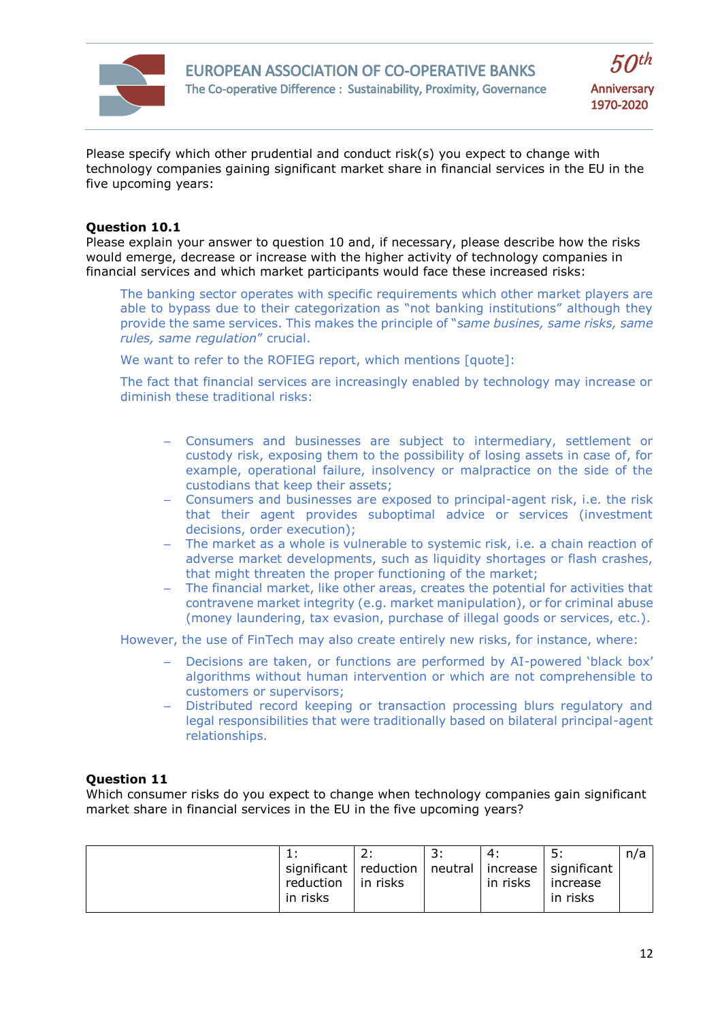

Please specify which other prudential and conduct risk(s) you expect to change with technology companies gaining significant market share in financial services in the EU in the five upcoming years:

## **Question 10.1**

Please explain your answer to question 10 and, if necessary, please describe how the risks would emerge, decrease or increase with the higher activity of technology companies in financial services and which market participants would face these increased risks:

The banking sector operates with specific requirements which other market players are able to bypass due to their categorization as "not banking institutions" although they provide the same services. This makes the principle of "*same busines, same risks, same rules, same regulation*" crucial.

We want to refer to the ROFIEG report, which mentions [quote]:

The fact that financial services are increasingly enabled by technology may increase or diminish these traditional risks:

- Consumers and businesses are subject to intermediary, settlement or custody risk, exposing them to the possibility of losing assets in case of, for example, operational failure, insolvency or malpractice on the side of the custodians that keep their assets;
- Consumers and businesses are exposed to principal-agent risk, i.e. the risk that their agent provides suboptimal advice or services (investment decisions, order execution);
- The market as a whole is vulnerable to systemic risk, i.e. a chain reaction of adverse market developments, such as liquidity shortages or flash crashes, that might threaten the proper functioning of the market;
- The financial market, like other areas, creates the potential for activities that contravene market integrity (e.g. market manipulation), or for criminal abuse (money laundering, tax evasion, purchase of illegal goods or services, etc.).

However, the use of FinTech may also create entirely new risks, for instance, where:

- Decisions are taken, or functions are performed by AI-powered 'black box' algorithms without human intervention or which are not comprehensible to customers or supervisors;
- Distributed record keeping or transaction processing blurs regulatory and legal responsibilities that were traditionally based on bilateral principal-agent relationships.

# **Question 11**

Which consumer risks do you expect to change when technology companies gain significant market share in financial services in the EU in the five upcoming years?

|                                                            |                  |          | ς.       | n/a |
|------------------------------------------------------------|------------------|----------|----------|-----|
| significant   reduction   neutral   increase   significant |                  |          |          |     |
| reduction                                                  | $\vert$ in risks | in risks | increase |     |
| in risks                                                   |                  |          | in risks |     |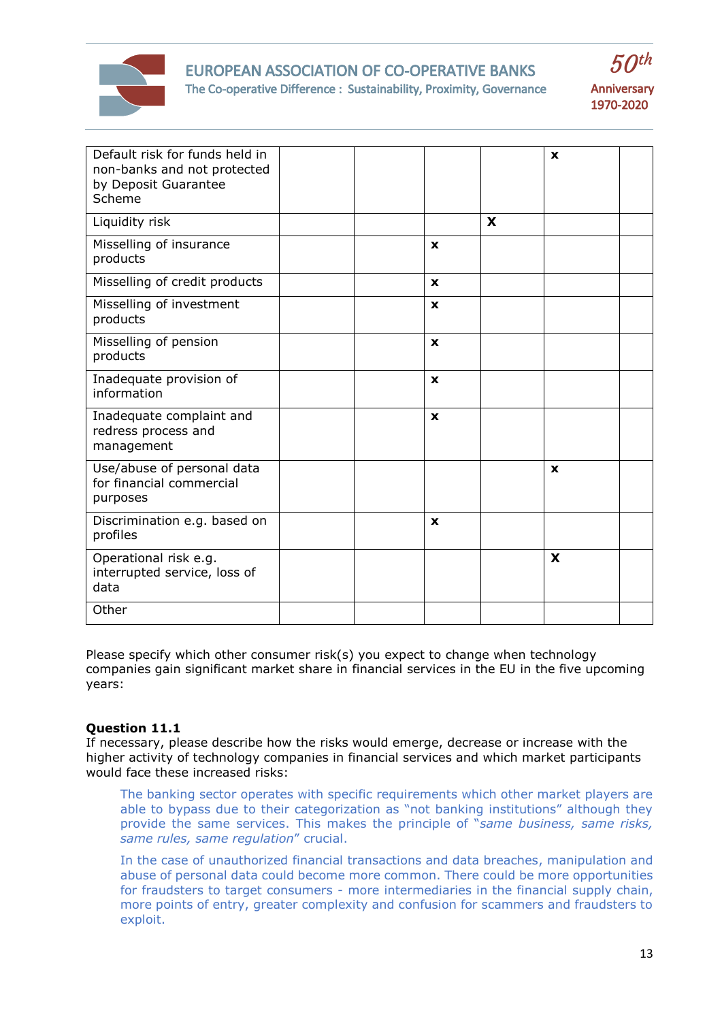

# EUROPEAN ASSOCIATION OF CO-OPERATIVE BANKS The Co-operative Difference : Sustainability, Proximity, Governance





| Default risk for funds held in           |  |              |   | X           |  |
|------------------------------------------|--|--------------|---|-------------|--|
| non-banks and not protected              |  |              |   |             |  |
| by Deposit Guarantee                     |  |              |   |             |  |
| Scheme                                   |  |              |   |             |  |
|                                          |  |              |   |             |  |
| Liquidity risk                           |  |              | X |             |  |
| Misselling of insurance                  |  | X            |   |             |  |
| products                                 |  |              |   |             |  |
| Misselling of credit products            |  | $\mathbf{x}$ |   |             |  |
|                                          |  |              |   |             |  |
| Misselling of investment                 |  | X            |   |             |  |
| products                                 |  |              |   |             |  |
| Misselling of pension                    |  | $\mathbf{x}$ |   |             |  |
| products                                 |  |              |   |             |  |
|                                          |  |              |   |             |  |
| Inadequate provision of<br>information   |  | $\mathbf x$  |   |             |  |
|                                          |  |              |   |             |  |
| Inadequate complaint and                 |  | $\mathbf{x}$ |   |             |  |
| redress process and                      |  |              |   |             |  |
| management                               |  |              |   |             |  |
| Use/abuse of personal data               |  |              |   | $\mathbf x$ |  |
| for financial commercial                 |  |              |   |             |  |
| purposes                                 |  |              |   |             |  |
|                                          |  |              |   |             |  |
| Discrimination e.g. based on<br>profiles |  | X            |   |             |  |
|                                          |  |              |   |             |  |
| Operational risk e.g.                    |  |              |   | X           |  |
| interrupted service, loss of             |  |              |   |             |  |
| data                                     |  |              |   |             |  |
| Other                                    |  |              |   |             |  |
|                                          |  |              |   |             |  |

Please specify which other consumer risk(s) you expect to change when technology companies gain significant market share in financial services in the EU in the five upcoming years:

# **Question 11.1**

If necessary, please describe how the risks would emerge, decrease or increase with the higher activity of technology companies in financial services and which market participants would face these increased risks:

The banking sector operates with specific requirements which other market players are able to bypass due to their categorization as "not banking institutions" although they provide the same services. This makes the principle of "*same business, same risks, same rules, same regulation*" crucial.

In the case of unauthorized financial transactions and data breaches, manipulation and abuse of personal data could become more common. There could be more opportunities for fraudsters to target consumers - more intermediaries in the financial supply chain, more points of entry, greater complexity and confusion for scammers and fraudsters to exploit.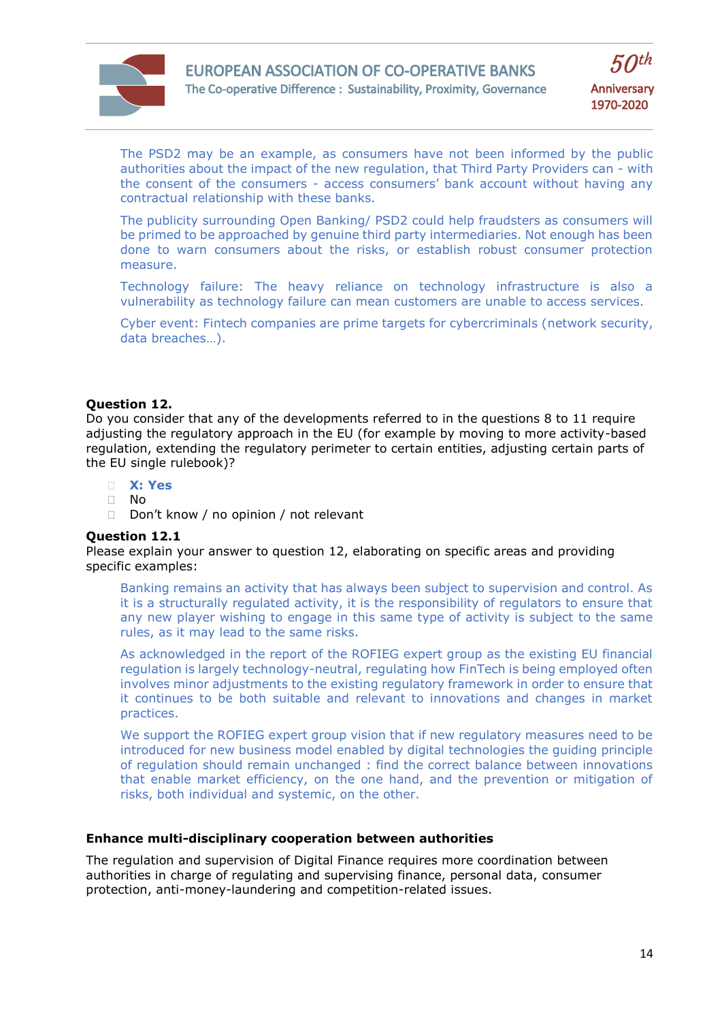



The PSD2 may be an example, as consumers have not been informed by the public authorities about the impact of the new regulation, that Third Party Providers can - with the consent of the consumers - access consumers' bank account without having any contractual relationship with these banks.

The publicity surrounding Open Banking/ PSD2 could help fraudsters as consumers will be primed to be approached by genuine third party intermediaries. Not enough has been done to warn consumers about the risks, or establish robust consumer protection measure.

Technology failure: The heavy reliance on technology infrastructure is also a vulnerability as technology failure can mean customers are unable to access services.

Cyber event: Fintech companies are prime targets for cybercriminals (network security, data breaches…).

## **Question 12.**

Do you consider that any of the developments referred to in the questions 8 to 11 require adjusting the regulatory approach in the EU (for example by moving to more activity-based regulation, extending the regulatory perimeter to certain entities, adjusting certain parts of the EU single rulebook)?

- **X: Yes**
- $\Box$  No
- Don't know / no opinion / not relevant

#### **Question 12.1**

Please explain your answer to question 12, elaborating on specific areas and providing specific examples:

Banking remains an activity that has always been subject to supervision and control. As it is a structurally regulated activity, it is the responsibility of regulators to ensure that any new player wishing to engage in this same type of activity is subject to the same rules, as it may lead to the same risks.

As acknowledged in the report of the ROFIEG expert group as the existing EU financial regulation is largely technology-neutral, regulating how FinTech is being employed often involves minor adjustments to the existing regulatory framework in order to ensure that it continues to be both suitable and relevant to innovations and changes in market practices.

We support the ROFIEG expert group vision that if new regulatory measures need to be introduced for new business model enabled by digital technologies the guiding principle of regulation should remain unchanged : find the correct balance between innovations that enable market efficiency, on the one hand, and the prevention or mitigation of risks, both individual and systemic, on the other.

## **Enhance multi-disciplinary cooperation between authorities**

The regulation and supervision of Digital Finance requires more coordination between authorities in charge of regulating and supervising finance, personal data, consumer protection, anti-money-laundering and competition-related issues.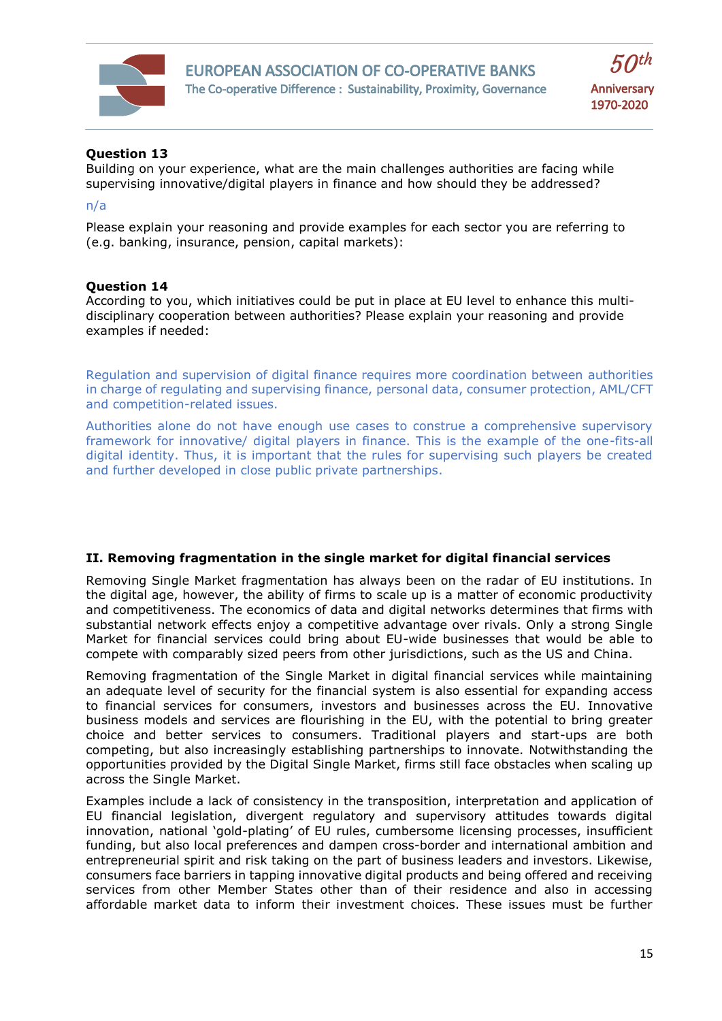



# **Question 13**

Building on your experience, what are the main challenges authorities are facing while supervising innovative/digital players in finance and how should they be addressed?

#### n/a

Please explain your reasoning and provide examples for each sector you are referring to (e.g. banking, insurance, pension, capital markets):

#### **Question 14**

According to you, which initiatives could be put in place at EU level to enhance this multidisciplinary cooperation between authorities? Please explain your reasoning and provide examples if needed:

Regulation and supervision of digital finance requires more coordination between authorities in charge of regulating and supervising finance, personal data, consumer protection, AML/CFT and competition-related issues.

Authorities alone do not have enough use cases to construe a comprehensive supervisory framework for innovative/ digital players in finance. This is the example of the one-fits-all digital identity. Thus, it is important that the rules for supervising such players be created and further developed in close public private partnerships.

#### **II. Removing fragmentation in the single market for digital financial services**

Removing Single Market fragmentation has always been on the radar of EU institutions. In the digital age, however, the ability of firms to scale up is a matter of economic productivity and competitiveness. The economics of data and digital networks determines that firms with substantial network effects enjoy a competitive advantage over rivals. Only a strong Single Market for financial services could bring about EU-wide businesses that would be able to compete with comparably sized peers from other jurisdictions, such as the US and China.

Removing fragmentation of the Single Market in digital financial services while maintaining an adequate level of security for the financial system is also essential for expanding access to financial services for consumers, investors and businesses across the EU. Innovative business models and services are flourishing in the EU, with the potential to bring greater choice and better services to consumers. Traditional players and start-ups are both competing, but also increasingly establishing partnerships to innovate. Notwithstanding the opportunities provided by the Digital Single Market, firms still face obstacles when scaling up across the Single Market.

Examples include a lack of consistency in the transposition, interpretation and application of EU financial legislation, divergent regulatory and supervisory attitudes towards digital innovation, national 'gold-plating' of EU rules, cumbersome licensing processes, insufficient funding, but also local preferences and dampen cross-border and international ambition and entrepreneurial spirit and risk taking on the part of business leaders and investors. Likewise, consumers face barriers in tapping innovative digital products and being offered and receiving services from other Member States other than of their residence and also in accessing affordable market data to inform their investment choices. These issues must be further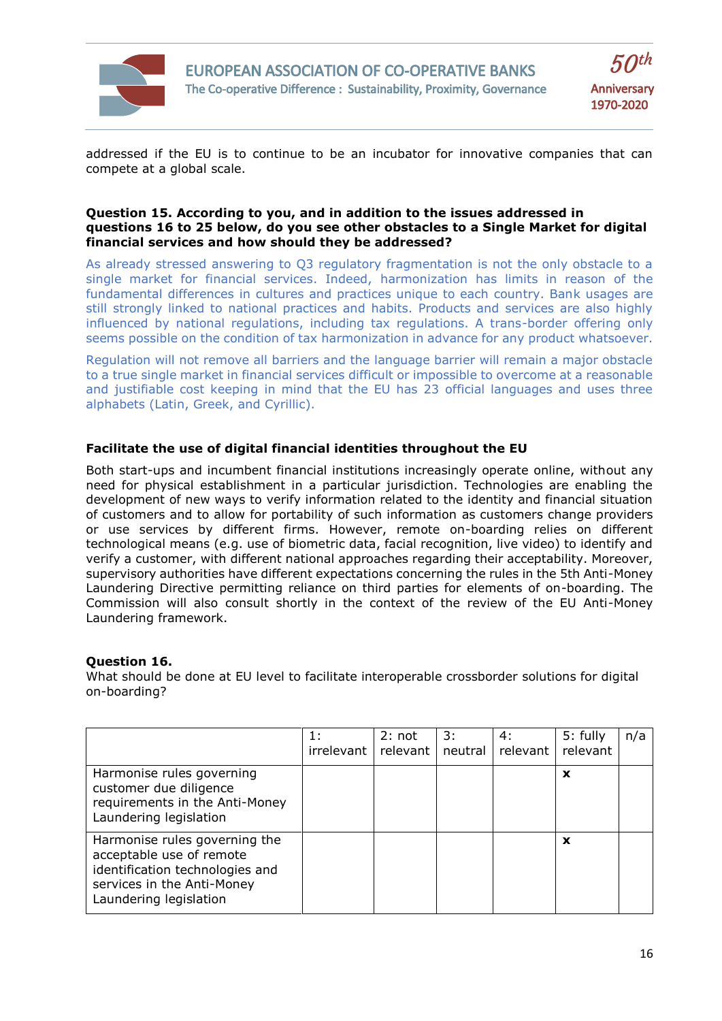

addressed if the EU is to continue to be an incubator for innovative companies that can compete at a global scale.

## **Question 15. According to you, and in addition to the issues addressed in questions 16 to 25 below, do you see other obstacles to a Single Market for digital financial services and how should they be addressed?**

As already stressed answering to Q3 regulatory fragmentation is not the only obstacle to a single market for financial services. Indeed, harmonization has limits in reason of the fundamental differences in cultures and practices unique to each country. Bank usages are still strongly linked to national practices and habits. Products and services are also highly influenced by national regulations, including tax regulations. A trans-border offering only seems possible on the condition of tax harmonization in advance for any product whatsoever.

Regulation will not remove all barriers and the language barrier will remain a major obstacle to a true single market in financial services difficult or impossible to overcome at a reasonable and justifiable cost keeping in mind that the EU has 23 official languages and uses three alphabets (Latin, Greek, and Cyrillic).

# **Facilitate the use of digital financial identities throughout the EU**

Both start-ups and incumbent financial institutions increasingly operate online, without any need for physical establishment in a particular jurisdiction. Technologies are enabling the development of new ways to verify information related to the identity and financial situation of customers and to allow for portability of such information as customers change providers or use services by different firms. However, remote on-boarding relies on different technological means (e.g. use of biometric data, facial recognition, live video) to identify and verify a customer, with different national approaches regarding their acceptability. Moreover, supervisory authorities have different expectations concerning the rules in the 5th Anti-Money Laundering Directive permitting reliance on third parties for elements of on-boarding. The Commission will also consult shortly in the context of the review of the EU Anti-Money Laundering framework.

# **Question 16.**

What should be done at EU level to facilitate interoperable crossborder solutions for digital on-boarding?

|                                                                                                                                                      | 1:<br>irrelevant | 2: not<br>relevant | 3:<br>neutral | 4:<br>relevant l | 5: fully<br>relevant | n/a |
|------------------------------------------------------------------------------------------------------------------------------------------------------|------------------|--------------------|---------------|------------------|----------------------|-----|
| Harmonise rules governing<br>customer due diligence<br>requirements in the Anti-Money<br>Laundering legislation                                      |                  |                    |               |                  | X                    |     |
| Harmonise rules governing the<br>acceptable use of remote<br>identification technologies and<br>services in the Anti-Money<br>Laundering legislation |                  |                    |               |                  | x                    |     |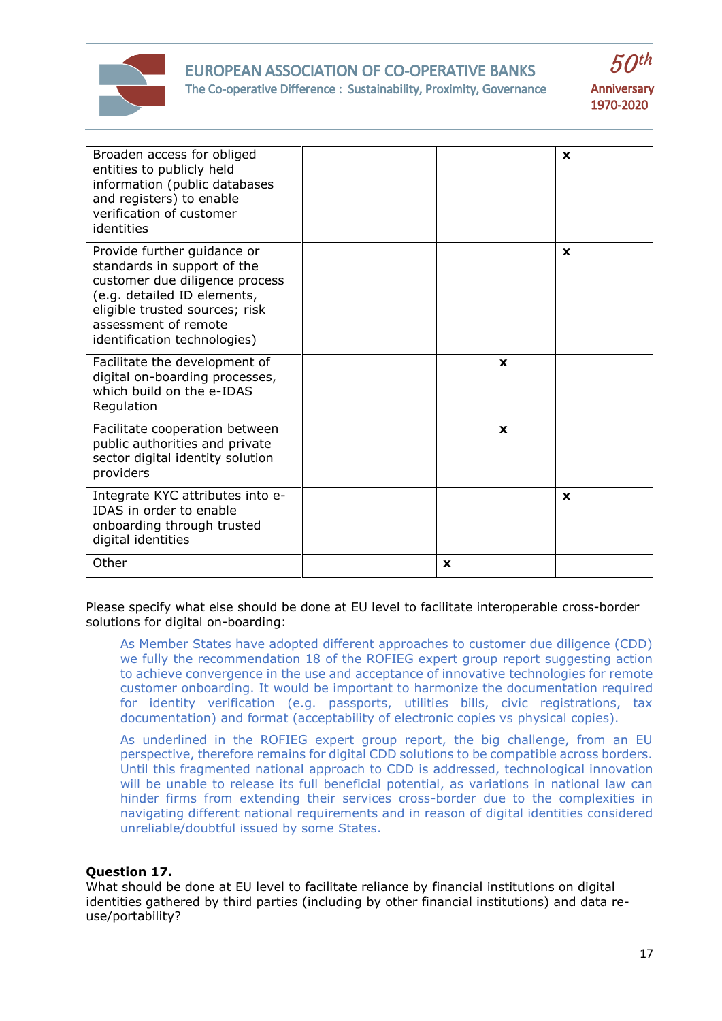

## EUROPEAN ASSOCIATION OF CO-OPERATIVE BANKS The Co-operative Difference : Sustainability, Proximity, Governance



| Broaden access for obliged<br>entities to publicly held<br>information (public databases<br>and registers) to enable<br>verification of customer<br>identities                                                        |  |             |              | $\mathbf x$  |  |
|-----------------------------------------------------------------------------------------------------------------------------------------------------------------------------------------------------------------------|--|-------------|--------------|--------------|--|
| Provide further guidance or<br>standards in support of the<br>customer due diligence process<br>(e.g. detailed ID elements,<br>eligible trusted sources; risk<br>assessment of remote<br>identification technologies) |  |             |              | $\mathbf{x}$ |  |
| Facilitate the development of<br>digital on-boarding processes,<br>which build on the e-IDAS<br>Regulation                                                                                                            |  |             | $\mathbf{x}$ |              |  |
| Facilitate cooperation between<br>public authorities and private<br>sector digital identity solution<br>providers                                                                                                     |  |             | $\mathbf{x}$ |              |  |
| Integrate KYC attributes into e-<br>IDAS in order to enable<br>onboarding through trusted<br>digital identities                                                                                                       |  |             |              | $\mathbf x$  |  |
| Other                                                                                                                                                                                                                 |  | $\mathbf x$ |              |              |  |

Please specify what else should be done at EU level to facilitate interoperable cross-border solutions for digital on-boarding:

As Member States have adopted different approaches to customer due diligence (CDD) we fully the recommendation 18 of the ROFIEG expert group report suggesting action to achieve convergence in the use and acceptance of innovative technologies for remote customer onboarding. It would be important to harmonize the documentation required for identity verification (e.g. passports, utilities bills, civic registrations, tax documentation) and format (acceptability of electronic copies vs physical copies).

As underlined in the ROFIEG expert group report, the big challenge, from an EU perspective, therefore remains for digital CDD solutions to be compatible across borders. Until this fragmented national approach to CDD is addressed, technological innovation will be unable to release its full beneficial potential, as variations in national law can hinder firms from extending their services cross-border due to the complexities in navigating different national requirements and in reason of digital identities considered unreliable/doubtful issued by some States.

## **Question 17.**

What should be done at EU level to facilitate reliance by financial institutions on digital identities gathered by third parties (including by other financial institutions) and data reuse/portability?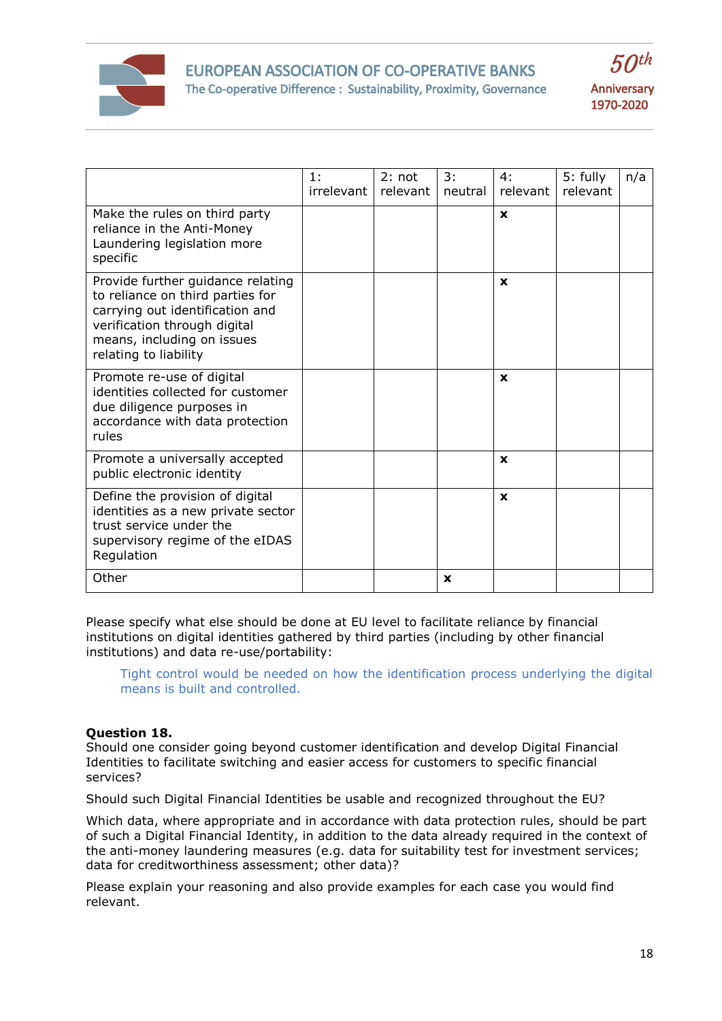



|                                                                                                                                                                                                 | 1:<br>irrelevant | $2:$ not<br>relevant | 3:<br>neutral | 4:<br>relevant | 5: fully<br>relevant | n/a |
|-------------------------------------------------------------------------------------------------------------------------------------------------------------------------------------------------|------------------|----------------------|---------------|----------------|----------------------|-----|
| Make the rules on third party<br>reliance in the Anti-Money<br>Laundering legislation more<br>specific                                                                                          |                  |                      |               | $\mathbf x$    |                      |     |
| Provide further guidance relating<br>to reliance on third parties for<br>carrying out identification and<br>verification through digital<br>means, including on issues<br>relating to liability |                  |                      |               | X              |                      |     |
| Promote re-use of digital<br>identities collected for customer<br>due diligence purposes in<br>accordance with data protection<br>rules                                                         |                  |                      |               | $\mathbf x$    |                      |     |
| Promote a universally accepted<br>public electronic identity                                                                                                                                    |                  |                      |               | X              |                      |     |
| Define the provision of digital<br>identities as a new private sector<br>trust service under the<br>supervisory regime of the eIDAS<br>Regulation                                               |                  |                      |               | $\mathbf{x}$   |                      |     |
| Other                                                                                                                                                                                           |                  |                      | $\mathbf x$   |                |                      |     |

Please specify what else should be done at EU level to facilitate reliance by financial institutions on digital identities gathered by third parties (including by other financial institutions) and data re-use/portability:

Tight control would be needed on how the identification process underlying the digital means is built and controlled.

# **Question 18.**

Should one consider going beyond customer identification and develop Digital Financial Identities to facilitate switching and easier access for customers to specific financial services?

Should such Digital Financial Identities be usable and recognized throughout the EU?

Which data, where appropriate and in accordance with data protection rules, should be part of such a Digital Financial Identity, in addition to the data already required in the context of the anti-money laundering measures (e.g. data for suitability test for investment services; data for creditworthiness assessment; other data)?

Please explain your reasoning and also provide examples for each case you would find relevant.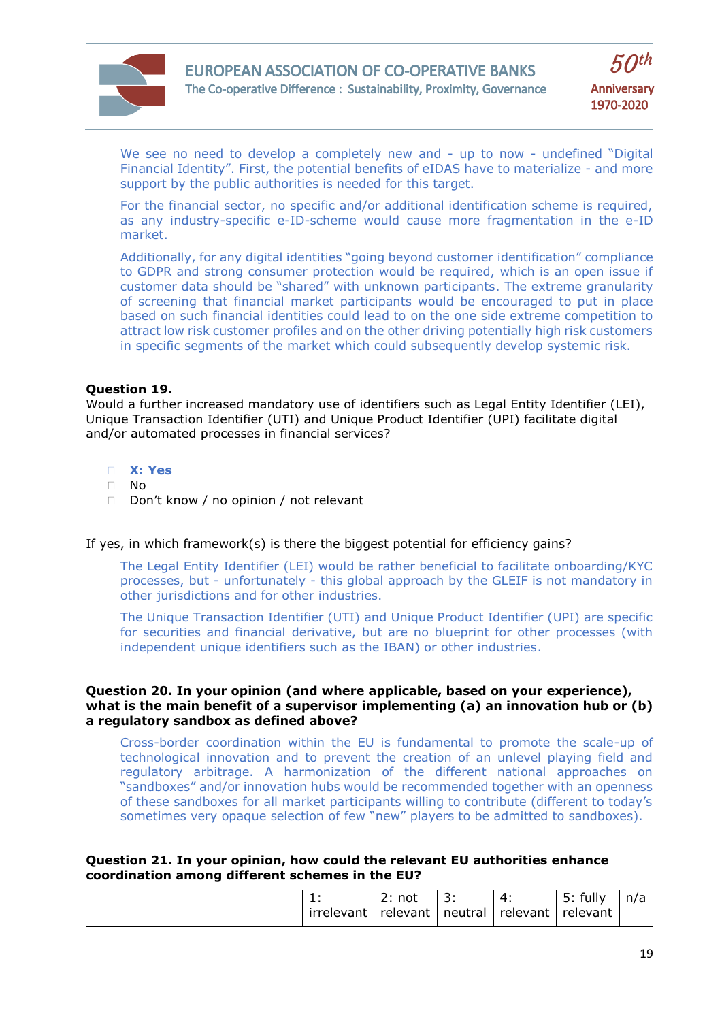



We see no need to develop a completely new and - up to now - undefined "Digital Financial Identity". First, the potential benefits of eIDAS have to materialize - and more support by the public authorities is needed for this target.

For the financial sector, no specific and/or additional identification scheme is required, as any industry-specific e-ID-scheme would cause more fragmentation in the e-ID market.

Additionally, for any digital identities "going beyond customer identification" compliance to GDPR and strong consumer protection would be required, which is an open issue if customer data should be "shared" with unknown participants. The extreme granularity of screening that financial market participants would be encouraged to put in place based on such financial identities could lead to on the one side extreme competition to attract low risk customer profiles and on the other driving potentially high risk customers in specific segments of the market which could subsequently develop systemic risk.

## **Question 19.**

Would a further increased mandatory use of identifiers such as Legal Entity Identifier (LEI), Unique Transaction Identifier (UTI) and Unique Product Identifier (UPI) facilitate digital and/or automated processes in financial services?

- **X: Yes**
- No
- Don't know / no opinion / not relevant

If yes, in which framework(s) is there the biggest potential for efficiency gains?

The Legal Entity Identifier (LEI) would be rather beneficial to facilitate onboarding/KYC processes, but - unfortunately - this global approach by the GLEIF is not mandatory in other jurisdictions and for other industries.

The Unique Transaction Identifier (UTI) and Unique Product Identifier (UPI) are specific for securities and financial derivative, but are no blueprint for other processes (with independent unique identifiers such as the IBAN) or other industries.

#### **Question 20. In your opinion (and where applicable, based on your experience), what is the main benefit of a supervisor implementing (a) an innovation hub or (b) a regulatory sandbox as defined above?**

Cross-border coordination within the EU is fundamental to promote the scale-up of technological innovation and to prevent the creation of an unlevel playing field and regulatory arbitrage. A harmonization of the different national approaches on "sandboxes" and/or innovation hubs would be recommended together with an openness of these sandboxes for all market participants willing to contribute (different to today's sometimes very opaque selection of few "new" players to be admitted to sandboxes).

#### **Question 21. In your opinion, how could the relevant EU authorities enhance coordination among different schemes in the EU?**

| . .<br>irrelevant | not<br><u>_</u><br>relevant | ∽<br><u>.</u><br>neutral | . .<br>relevant | fully<br><u>. . </u><br>J.,<br>relevant | n/n<br>ີ |
|-------------------|-----------------------------|--------------------------|-----------------|-----------------------------------------|----------|
|-------------------|-----------------------------|--------------------------|-----------------|-----------------------------------------|----------|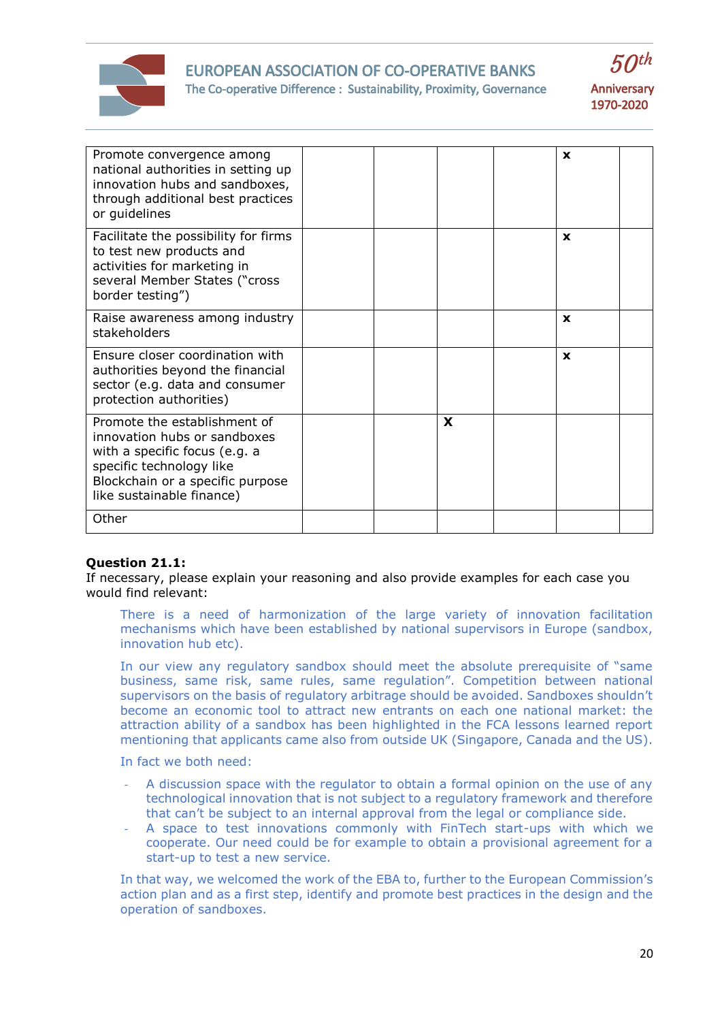

# EUROPEAN ASSOCIATION OF CO-OPERATIVE BANKS



 $50<sup>th</sup>$ 

The Co-operative Difference : Sustainability, Proximity, Governance

| Promote convergence among<br>national authorities in setting up<br>innovation hubs and sandboxes,<br>through additional best practices<br>or guidelines                                    |  |   | X           |  |
|--------------------------------------------------------------------------------------------------------------------------------------------------------------------------------------------|--|---|-------------|--|
| Facilitate the possibility for firms<br>to test new products and<br>activities for marketing in<br>several Member States ("cross<br>border testing")                                       |  |   | $\mathbf x$ |  |
| Raise awareness among industry<br>stakeholders                                                                                                                                             |  |   | $\mathbf x$ |  |
| Ensure closer coordination with<br>authorities beyond the financial<br>sector (e.g. data and consumer<br>protection authorities)                                                           |  |   | X           |  |
| Promote the establishment of<br>innovation hubs or sandboxes<br>with a specific focus (e.g. a<br>specific technology like<br>Blockchain or a specific purpose<br>like sustainable finance) |  | X |             |  |
| Other                                                                                                                                                                                      |  |   |             |  |

# **Question 21.1:**

If necessary, please explain your reasoning and also provide examples for each case you would find relevant:

There is a need of harmonization of the large variety of innovation facilitation mechanisms which have been established by national supervisors in Europe (sandbox, innovation hub etc).

In our view any regulatory sandbox should meet the absolute prerequisite of "same business, same risk, same rules, same regulation". Competition between national supervisors on the basis of regulatory arbitrage should be avoided. Sandboxes shouldn't become an economic tool to attract new entrants on each one national market: the attraction ability of a sandbox has been highlighted in the FCA lessons learned report mentioning that applicants came also from outside UK (Singapore, Canada and the US).

In fact we both need:

- A discussion space with the regulator to obtain a formal opinion on the use of any technological innovation that is not subject to a regulatory framework and therefore that can't be subject to an internal approval from the legal or compliance side.
- A space to test innovations commonly with FinTech start-ups with which we cooperate. Our need could be for example to obtain a provisional agreement for a start-up to test a new service.

In that way, we welcomed the work of the EBA to, further to the European Commission's action plan and as a first step, identify and promote best practices in the design and the operation of sandboxes.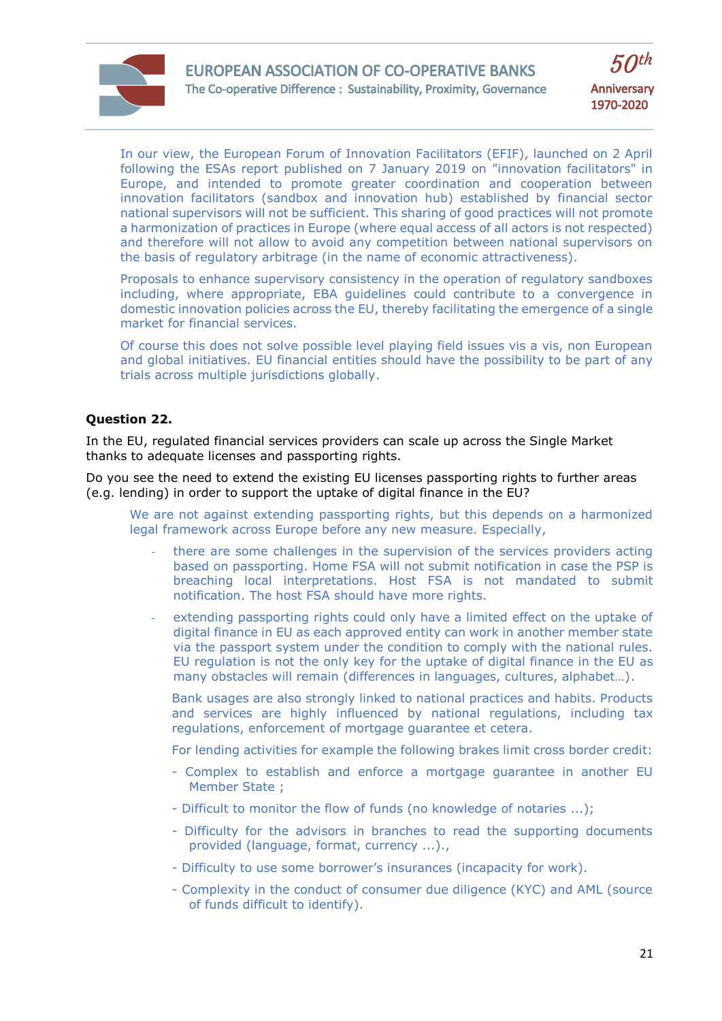

In our view, the European Forum of Innovation Facilitators (EFIF), launched on 2 April following the ESAs report published on 7 January 2019 on "innovation facilitators" in Europe, and intended to promote greater coordination and cooperation between innovation facilitators (sandbox and innovation hub) established by financial sector national supervisors will not be sufficient. This sharing of good practices will not promote a harmonization of practices in Europe (where equal access of all actors is not respected) and therefore will not allow to avoid any competition between national supervisors on the basis of regulatory arbitrage (in the name of economic attractiveness).

Proposals to enhance supervisory consistency in the operation of regulatory sandboxes including, where appropriate, EBA guidelines could contribute to a convergence in domestic innovation policies across the EU, thereby facilitating the emergence of a single market for financial services.

Of course this does not solve possible level playing field issues vis a vis, non European and global initiatives. EU financial entities should have the possibility to be part of any trials across multiple jurisdictions globally.

# **Question 22.**

In the EU, regulated financial services providers can scale up across the Single Market thanks to adequate licenses and passporting rights.

Do you see the need to extend the existing EU licenses passporting rights to further areas (e.g. lending) in order to support the uptake of digital finance in the EU?

We are not against extending passporting rights, but this depends on a harmonized legal framework across Europe before any new measure. Especially,

- there are some challenges in the supervision of the services providers acting based on passporting. Home FSA will not submit notification in case the PSP is breaching local interpretations. Host FSA is not mandated to submit notification. The host FSA should have more rights.
- extending passporting rights could only have a limited effect on the uptake of digital finance in EU as each approved entity can work in another member state via the passport system under the condition to comply with the national rules. EU regulation is not the only key for the uptake of digital finance in the EU as many obstacles will remain (differences in languages, cultures, alphabet…).

Bank usages are also strongly linked to national practices and habits. Products and services are highly influenced by national regulations, including tax regulations, enforcement of mortgage guarantee et cetera.

For lending activities for example the following brakes limit cross border credit:

- Complex to establish and enforce a mortgage guarantee in another EU Member State ;
- Difficult to monitor the flow of funds (no knowledge of notaries ...);
- Difficulty for the advisors in branches to read the supporting documents provided (language, format, currency ...).,
- Difficulty to use some borrower's insurances (incapacity for work).
- Complexity in the conduct of consumer due diligence (KYC) and AML (source of funds difficult to identify).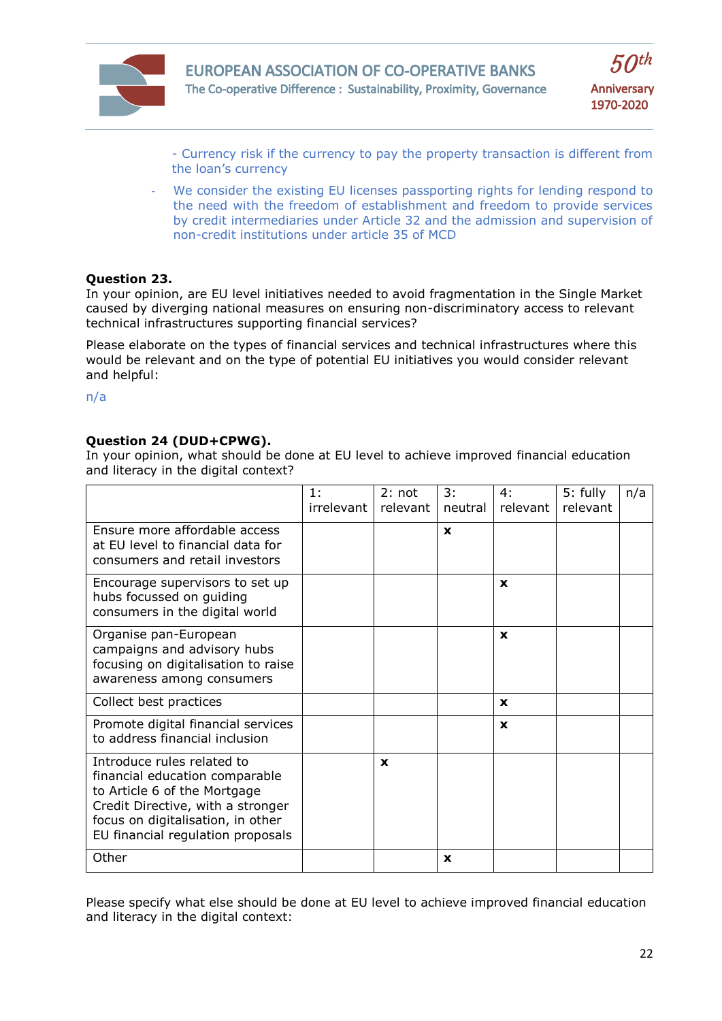



- Currency risk if the currency to pay the property transaction is different from the loan's currency

We consider the existing EU licenses passporting rights for lending respond to the need with the freedom of establishment and freedom to provide services by credit intermediaries under Article 32 and the admission and supervision of non-credit institutions under article 35 of MCD

## **Question 23.**

In your opinion, are EU level initiatives needed to avoid fragmentation in the Single Market caused by diverging national measures on ensuring non-discriminatory access to relevant technical infrastructures supporting financial services?

Please elaborate on the types of financial services and technical infrastructures where this would be relevant and on the type of potential EU initiatives you would consider relevant and helpful:

n/a

# **Question 24 (DUD+CPWG).**

In your opinion, what should be done at EU level to achieve improved financial education and literacy in the digital context?

|                                                                                                                                                                                                             | 1:<br>irrelevant | 2: not<br>relevant | 3:<br>neutral | 4:<br>relevant | 5: fully<br>relevant | n/a |
|-------------------------------------------------------------------------------------------------------------------------------------------------------------------------------------------------------------|------------------|--------------------|---------------|----------------|----------------------|-----|
| Ensure more affordable access<br>at EU level to financial data for<br>consumers and retail investors                                                                                                        |                  |                    | $\mathbf{x}$  |                |                      |     |
| Encourage supervisors to set up<br>hubs focussed on guiding<br>consumers in the digital world                                                                                                               |                  |                    |               | <b>x</b>       |                      |     |
| Organise pan-European<br>campaigns and advisory hubs<br>focusing on digitalisation to raise<br>awareness among consumers                                                                                    |                  |                    |               | <b>x</b>       |                      |     |
| Collect best practices                                                                                                                                                                                      |                  |                    |               | <b>X</b>       |                      |     |
| Promote digital financial services<br>to address financial inclusion                                                                                                                                        |                  |                    |               | $\mathbf{x}$   |                      |     |
| Introduce rules related to<br>financial education comparable<br>to Article 6 of the Mortgage<br>Credit Directive, with a stronger<br>focus on digitalisation, in other<br>EU financial regulation proposals |                  | $\mathbf x$        |               |                |                      |     |
| Other                                                                                                                                                                                                       |                  |                    | X             |                |                      |     |

Please specify what else should be done at EU level to achieve improved financial education and literacy in the digital context: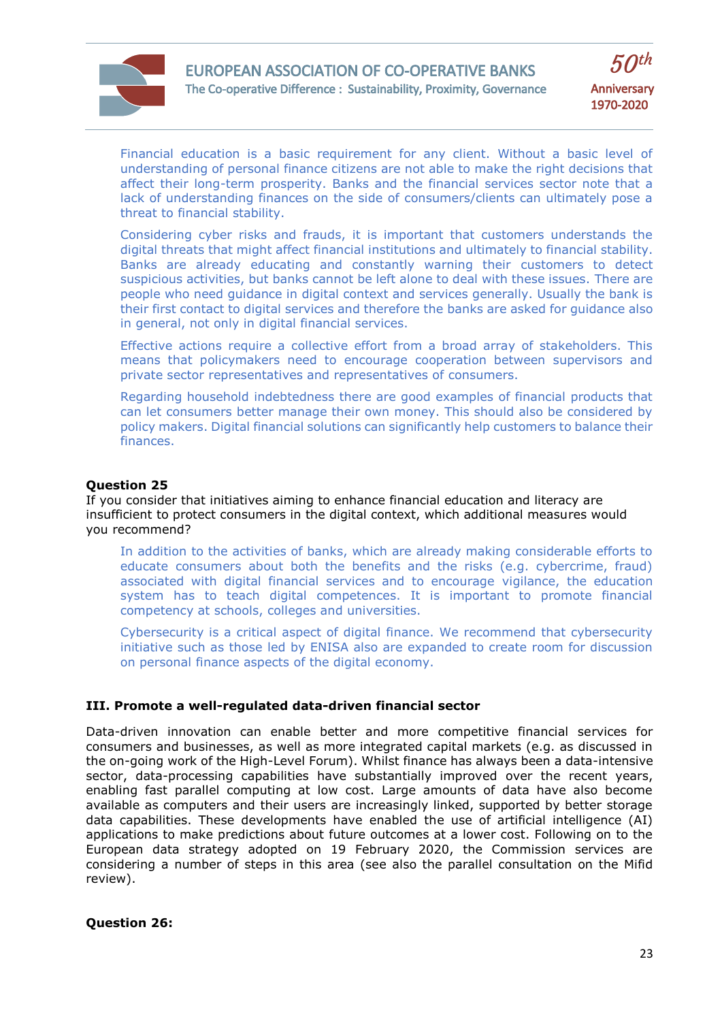



Financial education is a basic requirement for any client. Without a basic level of understanding of personal finance citizens are not able to make the right decisions that affect their long-term prosperity. Banks and the financial services sector note that a lack of understanding finances on the side of consumers/clients can ultimately pose a threat to financial stability.

Considering cyber risks and frauds, it is important that customers understands the digital threats that might affect financial institutions and ultimately to financial stability. Banks are already educating and constantly warning their customers to detect suspicious activities, but banks cannot be left alone to deal with these issues. There are people who need guidance in digital context and services generally. Usually the bank is their first contact to digital services and therefore the banks are asked for guidance also in general, not only in digital financial services.

Effective actions require a collective effort from a broad array of stakeholders. This means that policymakers need to encourage cooperation between supervisors and private sector representatives and representatives of consumers.

Regarding household indebtedness there are good examples of financial products that can let consumers better manage their own money. This should also be considered by policy makers. Digital financial solutions can significantly help customers to balance their finances.

#### **Question 25**

If you consider that initiatives aiming to enhance financial education and literacy are insufficient to protect consumers in the digital context, which additional measures would you recommend?

In addition to the activities of banks, which are already making considerable efforts to educate consumers about both the benefits and the risks (e.g. cybercrime, fraud) associated with digital financial services and to encourage vigilance, the education system has to teach digital competences. It is important to promote financial competency at schools, colleges and universities.

Cybersecurity is a critical aspect of digital finance. We recommend that cybersecurity initiative such as those led by ENISA also are expanded to create room for discussion on personal finance aspects of the digital economy.

# **III. Promote a well-regulated data-driven financial sector**

Data-driven innovation can enable better and more competitive financial services for consumers and businesses, as well as more integrated capital markets (e.g. as discussed in the on-going work of the High-Level Forum). Whilst finance has always been a data-intensive sector, data-processing capabilities have substantially improved over the recent years, enabling fast parallel computing at low cost. Large amounts of data have also become available as computers and their users are increasingly linked, supported by better storage data capabilities. These developments have enabled the use of artificial intelligence (AI) applications to make predictions about future outcomes at a lower cost. Following on to the European data strategy adopted on 19 February 2020, the Commission services are considering a number of steps in this area (see also the parallel consultation on the Mifid review).

**Question 26:**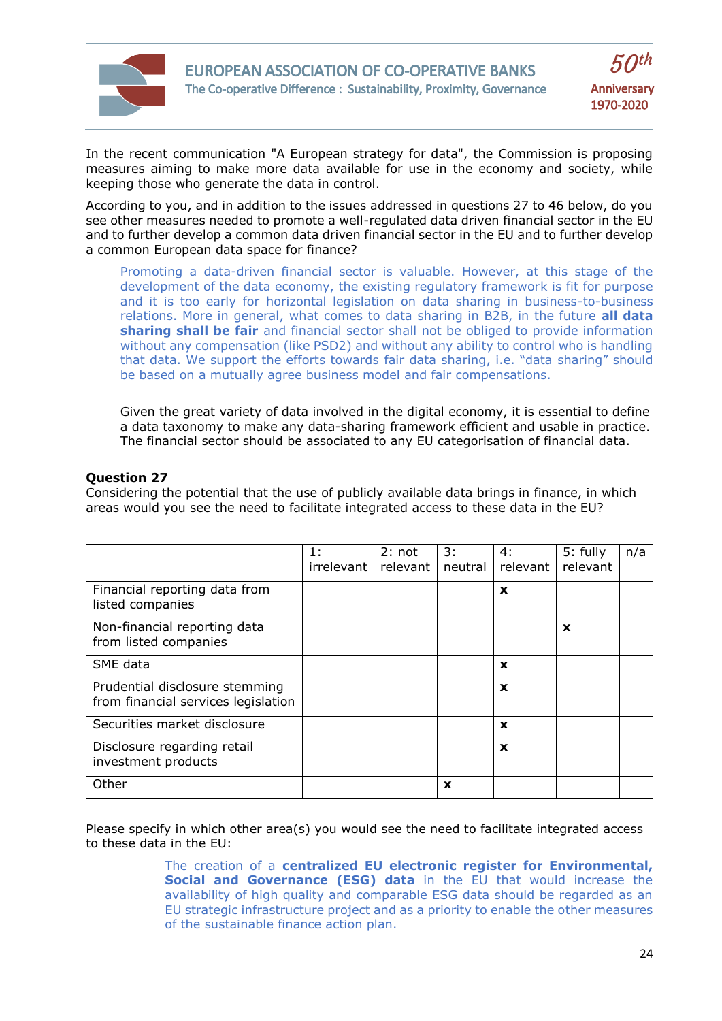



In the recent communication "A European strategy for data", the Commission is proposing measures aiming to make more data available for use in the economy and society, while keeping those who generate the data in control.

According to you, and in addition to the issues addressed in questions 27 to 46 below, do you see other measures needed to promote a well-regulated data driven financial sector in the EU and to further develop a common data driven financial sector in the EU and to further develop a common European data space for finance?

Promoting a data-driven financial sector is valuable. However, at this stage of the development of the data economy, the existing regulatory framework is fit for purpose and it is too early for horizontal legislation on data sharing in business-to-business relations. More in general, what comes to data sharing in B2B, in the future **all data sharing shall be fair** and financial sector shall not be obliged to provide information without any compensation (like PSD2) and without any ability to control who is handling that data. We support the efforts towards fair data sharing, i.e. "data sharing" should be based on a mutually agree business model and fair compensations.

Given the great variety of data involved in the digital economy, it is essential to define a data taxonomy to make any data-sharing framework efficient and usable in practice. The financial sector should be associated to any EU categorisation of financial data.

# **Question 27**

Considering the potential that the use of publicly available data brings in finance, in which areas would you see the need to facilitate integrated access to these data in the EU?

|                                                                       | 1:<br>irrelevant | 2: not<br>relevant | 3:<br>neutral | 4:<br>relevant | 5: fully<br>relevant | n/a |
|-----------------------------------------------------------------------|------------------|--------------------|---------------|----------------|----------------------|-----|
| Financial reporting data from<br>listed companies                     |                  |                    |               | $\mathbf x$    |                      |     |
| Non-financial reporting data<br>from listed companies                 |                  |                    |               |                | $\mathbf x$          |     |
| SME data                                                              |                  |                    |               | X              |                      |     |
| Prudential disclosure stemming<br>from financial services legislation |                  |                    |               | $\mathbf x$    |                      |     |
| Securities market disclosure                                          |                  |                    |               | X              |                      |     |
| Disclosure regarding retail<br>investment products                    |                  |                    |               | $\mathbf x$    |                      |     |
| Other                                                                 |                  |                    | $\mathbf x$   |                |                      |     |

Please specify in which other area(s) you would see the need to facilitate integrated access to these data in the EU:

> The creation of a **centralized EU electronic register for Environmental, Social and Governance (ESG) data** in the EU that would increase the availability of high quality and comparable ESG data should be regarded as an EU strategic infrastructure project and as a priority to enable the other measures of the sustainable finance action plan.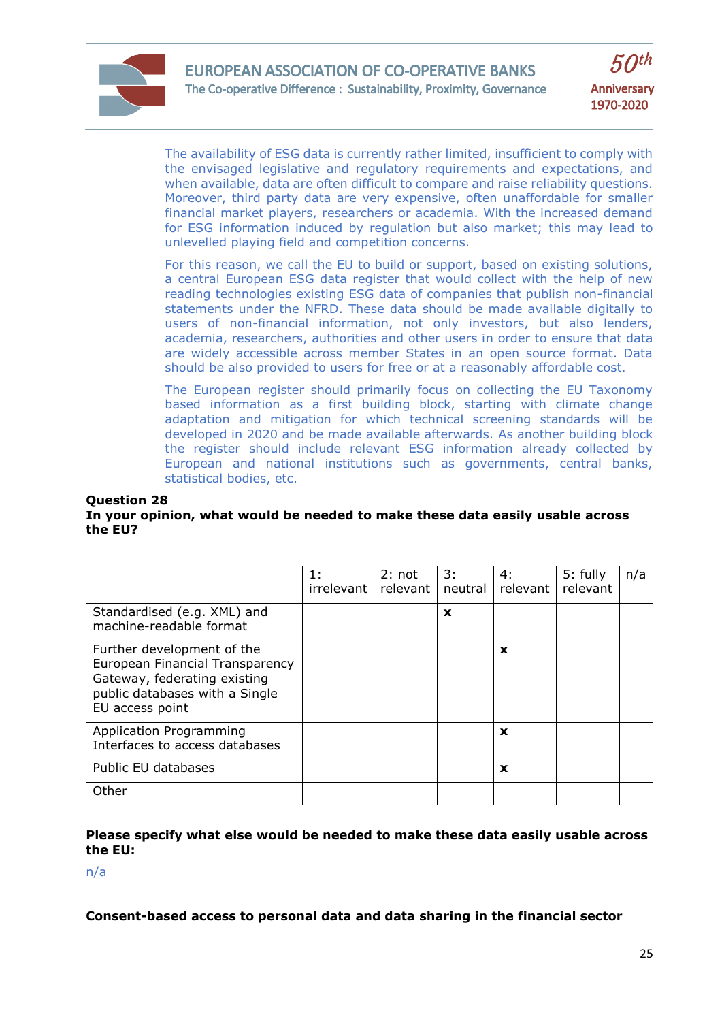



The availability of ESG data is currently rather limited, insufficient to comply with the envisaged legislative and regulatory requirements and expectations, and when available, data are often difficult to compare and raise reliability questions. Moreover, third party data are very expensive, often unaffordable for smaller financial market players, researchers or academia. With the increased demand for ESG information induced by regulation but also market; this may lead to unlevelled playing field and competition concerns.

For this reason, we call the EU to build or support, based on existing solutions, a central European ESG data register that would collect with the help of new reading technologies existing ESG data of companies that publish non-financial statements under the NFRD. These data should be made available digitally to users of non-financial information, not only investors, but also lenders, academia, researchers, authorities and other users in order to ensure that data are widely accessible across member States in an open source format. Data should be also provided to users for free or at a reasonably affordable cost.

The European register should primarily focus on collecting the EU Taxonomy based information as a first building block, starting with climate change adaptation and mitigation for which technical screening standards will be developed in 2020 and be made available afterwards. As another building block the register should include relevant ESG information already collected by European and national institutions such as governments, central banks, statistical bodies, etc.

#### **Question 28**

#### **In your opinion, what would be needed to make these data easily usable across the EU?**

|                                                                                                                                                    | 1:<br>irrelevant l | 2: not<br>relevant | 3:<br>neutral | 4:<br>relevant | 5: fully<br>relevant | n/a |
|----------------------------------------------------------------------------------------------------------------------------------------------------|--------------------|--------------------|---------------|----------------|----------------------|-----|
| Standardised (e.g. XML) and<br>machine-readable format                                                                                             |                    |                    | $\mathbf x$   |                |                      |     |
| Further development of the<br>European Financial Transparency<br>Gateway, federating existing<br>public databases with a Single<br>EU access point |                    |                    |               | $\mathbf x$    |                      |     |
| Application Programming<br>Interfaces to access databases                                                                                          |                    |                    |               | X              |                      |     |
| Public EU databases                                                                                                                                |                    |                    |               | X              |                      |     |
| Other                                                                                                                                              |                    |                    |               |                |                      |     |

#### **Please specify what else would be needed to make these data easily usable across the EU:**

n/a

**Consent-based access to personal data and data sharing in the financial sector**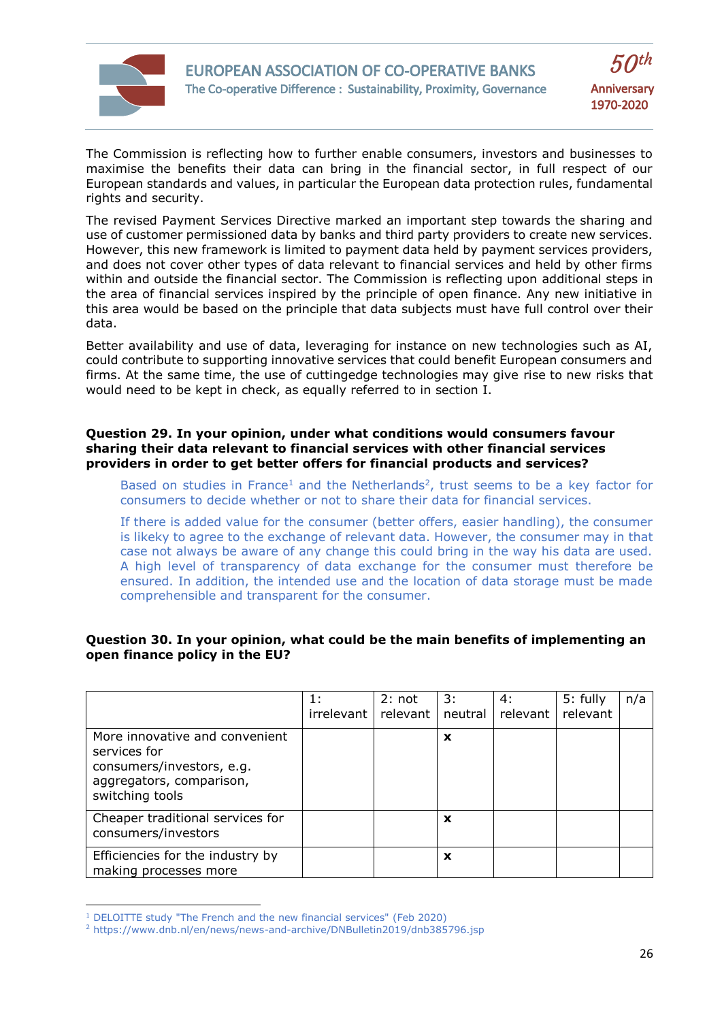

The Commission is reflecting how to further enable consumers, investors and businesses to maximise the benefits their data can bring in the financial sector, in full respect of our European standards and values, in particular the European data protection rules, fundamental rights and security.

The revised Payment Services Directive marked an important step towards the sharing and use of customer permissioned data by banks and third party providers to create new services. However, this new framework is limited to payment data held by payment services providers, and does not cover other types of data relevant to financial services and held by other firms within and outside the financial sector. The Commission is reflecting upon additional steps in the area of financial services inspired by the principle of open finance. Any new initiative in this area would be based on the principle that data subjects must have full control over their data.

Better availability and use of data, leveraging for instance on new technologies such as AI, could contribute to supporting innovative services that could benefit European consumers and firms. At the same time, the use of cuttingedge technologies may give rise to new risks that would need to be kept in check, as equally referred to in section I.

## **Question 29. In your opinion, under what conditions would consumers favour sharing their data relevant to financial services with other financial services providers in order to get better offers for financial products and services?**

Based on studies in France<sup>1</sup> and the Netherlands<sup>2</sup>, trust seems to be a key factor for consumers to decide whether or not to share their data for financial services.

If there is added value for the consumer (better offers, easier handling), the consumer is likeky to agree to the exchange of relevant data. However, the consumer may in that case not always be aware of any change this could bring in the way his data are used. A high level of transparency of data exchange for the consumer must therefore be ensured. In addition, the intended use and the location of data storage must be made comprehensible and transparent for the consumer.

## **Question 30. In your opinion, what could be the main benefits of implementing an open finance policy in the EU?**

|                                                                                                                            | 1:<br>irrelevant I | 2: not<br>relevant | 3:<br>neutral | 4:<br>relevant l | 5: fully<br>relevant | n/a |
|----------------------------------------------------------------------------------------------------------------------------|--------------------|--------------------|---------------|------------------|----------------------|-----|
| More innovative and convenient<br>services for<br>consumers/investors, e.g.<br>aggregators, comparison,<br>switching tools |                    |                    | X             |                  |                      |     |
| Cheaper traditional services for<br>consumers/investors                                                                    |                    |                    | X             |                  |                      |     |
| Efficiencies for the industry by<br>making processes more                                                                  |                    |                    | X             |                  |                      |     |

<sup>1</sup> DELOITTE study "The French and the new financial services" (Feb 2020)

 $\overline{\phantom{a}}$ 

<sup>&</sup>lt;sup>2</sup> https://www.dnb.nl/en/news/news-and-archive/DNBulletin2019/dnb385796.jsp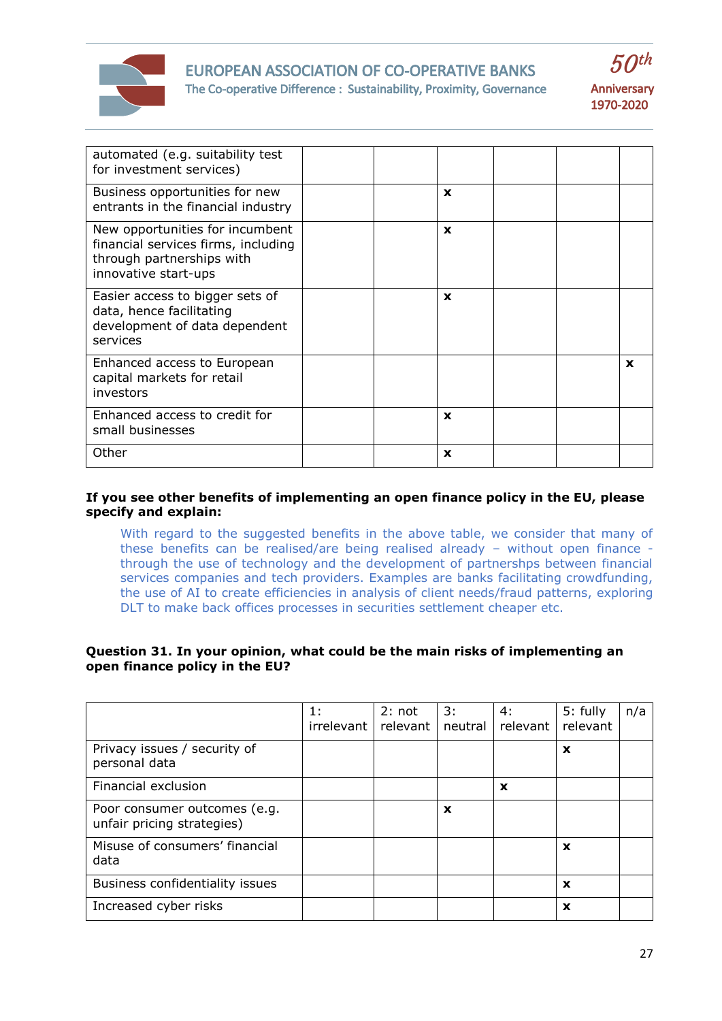

# EUROPEAN ASSOCIATION OF CO-OPERATIVE BANKS The Co-operative Difference : Sustainability, Proximity, Governance



| automated (e.g. suitability test<br>for investment services)                                                                |              |   |
|-----------------------------------------------------------------------------------------------------------------------------|--------------|---|
| Business opportunities for new<br>entrants in the financial industry                                                        | X            |   |
| New opportunities for incumbent<br>financial services firms, including<br>through partnerships with<br>innovative start-ups | $\mathbf x$  |   |
| Easier access to bigger sets of<br>data, hence facilitating<br>development of data dependent<br>services                    | $\mathbf x$  |   |
| Enhanced access to European<br>capital markets for retail<br>investors                                                      |              | X |
| Enhanced access to credit for<br>small businesses                                                                           | $\mathbf{x}$ |   |
| Other                                                                                                                       | X            |   |

## **If you see other benefits of implementing an open finance policy in the EU, please specify and explain:**

With regard to the suggested benefits in the above table, we consider that many of these benefits can be realised/are being realised already – without open finance through the use of technology and the development of partnershps between financial services companies and tech providers. Examples are banks facilitating crowdfunding, the use of AI to create efficiencies in analysis of client needs/fraud patterns, exploring DLT to make back offices processes in securities settlement cheaper etc.

## **Question 31. In your opinion, what could be the main risks of implementing an open finance policy in the EU?**

|                                                            | 1:<br>irrelevant | 2: not<br>relevant | 3:<br>neutral | 4:<br>relevant | 5: fully<br>relevant | n/a |
|------------------------------------------------------------|------------------|--------------------|---------------|----------------|----------------------|-----|
| Privacy issues / security of<br>personal data              |                  |                    |               |                | X                    |     |
| Financial exclusion                                        |                  |                    |               | X              |                      |     |
| Poor consumer outcomes (e.g.<br>unfair pricing strategies) |                  |                    | $\mathbf x$   |                |                      |     |
| Misuse of consumers' financial<br>data                     |                  |                    |               |                | X                    |     |
| Business confidentiality issues                            |                  |                    |               |                | X                    |     |
| Increased cyber risks                                      |                  |                    |               |                | X                    |     |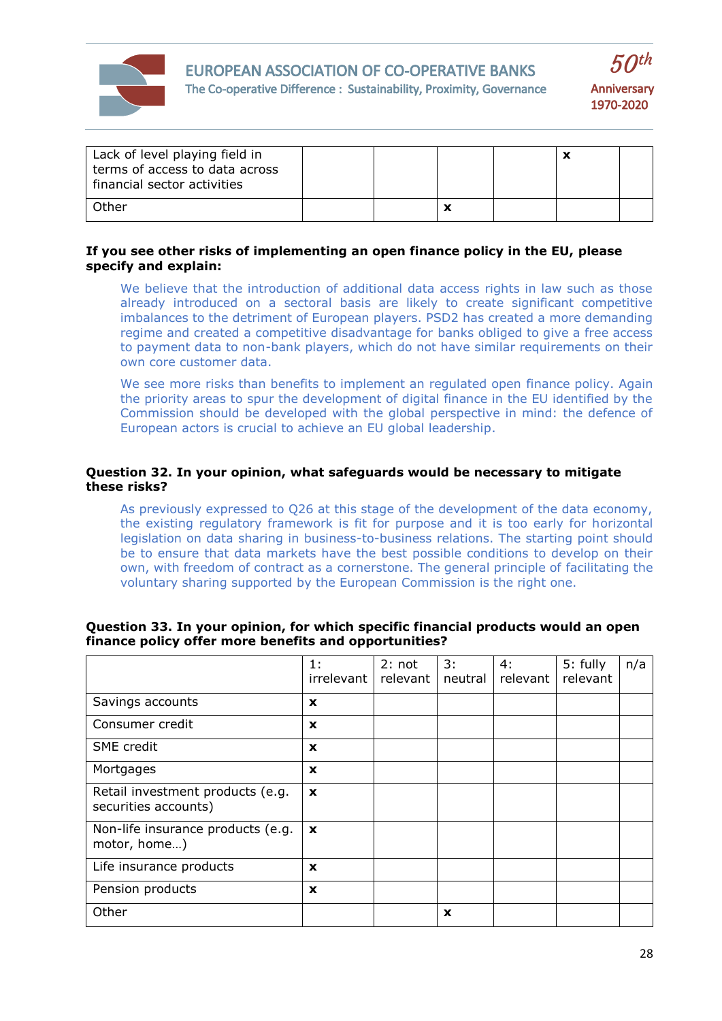



| Lack of level playing field in<br>terms of access to data across<br>financial sector activities |  |  |  |
|-------------------------------------------------------------------------------------------------|--|--|--|
| Other                                                                                           |  |  |  |

## **If you see other risks of implementing an open finance policy in the EU, please specify and explain:**

We believe that the introduction of additional data access rights in law such as those already introduced on a sectoral basis are likely to create significant competitive imbalances to the detriment of European players. PSD2 has created a more demanding regime and created a competitive disadvantage for banks obliged to give a free access to payment data to non-bank players, which do not have similar requirements on their own core customer data.

We see more risks than benefits to implement an regulated open finance policy. Again the priority areas to spur the development of digital finance in the EU identified by the Commission should be developed with the global perspective in mind: the defence of European actors is crucial to achieve an EU global leadership.

## **Question 32. In your opinion, what safeguards would be necessary to mitigate these risks?**

As previously expressed to Q26 at this stage of the development of the data economy, the existing regulatory framework is fit for purpose and it is too early for horizontal legislation on data sharing in business-to-business relations. The starting point should be to ensure that data markets have the best possible conditions to develop on their own, with freedom of contract as a cornerstone. The general principle of facilitating the voluntary sharing supported by the European Commission is the right one.

|                                                          | 1:<br>irrelevant | 2: not<br>relevant | 3:<br>neutral | 4:<br>relevant | 5: fully<br>relevant | n/a |
|----------------------------------------------------------|------------------|--------------------|---------------|----------------|----------------------|-----|
| Savings accounts                                         | X                |                    |               |                |                      |     |
| Consumer credit                                          | $\mathbf x$      |                    |               |                |                      |     |
| SME credit                                               | $\mathbf x$      |                    |               |                |                      |     |
| Mortgages                                                | $\mathbf x$      |                    |               |                |                      |     |
| Retail investment products (e.g.<br>securities accounts) | $\mathbf x$      |                    |               |                |                      |     |
| Non-life insurance products (e.g.<br>motor, home)        | $\mathbf{x}$     |                    |               |                |                      |     |
| Life insurance products                                  | $\mathbf x$      |                    |               |                |                      |     |
| Pension products                                         | $\mathbf x$      |                    |               |                |                      |     |
| Other                                                    |                  |                    | $\mathbf x$   |                |                      |     |

#### **Question 33. In your opinion, for which specific financial products would an open finance policy offer more benefits and opportunities?**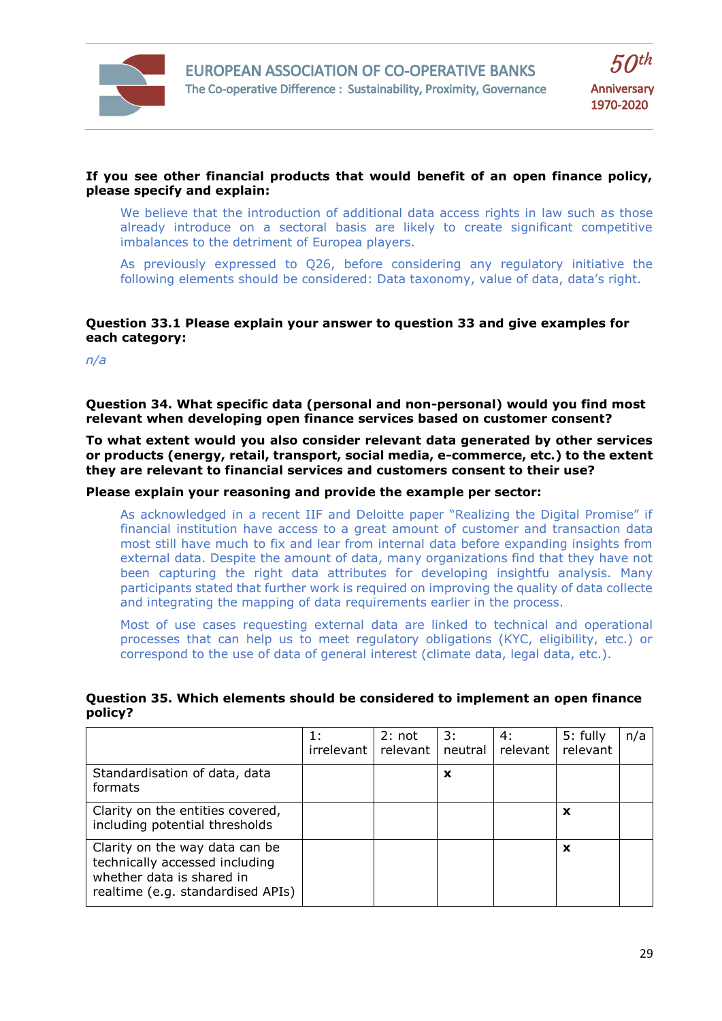

## **If you see other financial products that would benefit of an open finance policy, please specify and explain:**

We believe that the introduction of additional data access rights in law such as those already introduce on a sectoral basis are likely to create significant competitive imbalances to the detriment of Europea players.

As previously expressed to Q26, before considering any regulatory initiative the following elements should be considered: Data taxonomy, value of data, data's right.

# **Question 33.1 Please explain your answer to question 33 and give examples for each category:**

*n/a*

**Question 34. What specific data (personal and non-personal) would you find most relevant when developing open finance services based on customer consent?**

**To what extent would you also consider relevant data generated by other services or products (energy, retail, transport, social media, e-commerce, etc.) to the extent they are relevant to financial services and customers consent to their use?**

## **Please explain your reasoning and provide the example per sector:**

As acknowledged in a recent IIF and Deloitte paper "Realizing the Digital Promise" if financial institution have access to a great amount of customer and transaction data most still have much to fix and lear from internal data before expanding insights from external data. Despite the amount of data, many organizations find that they have not been capturing the right data attributes for developing insightfu analysis. Many participants stated that further work is required on improving the quality of data collecte and integrating the mapping of data requirements earlier in the process.

Most of use cases requesting external data are linked to technical and operational processes that can help us to meet regulatory obligations (KYC, eligibility, etc.) or correspond to the use of data of general interest (climate data, legal data, etc.).

| Question 35. Which elements should be considered to implement an open finance |  |
|-------------------------------------------------------------------------------|--|
| policy?                                                                       |  |

|                                                                                                                                    | 1:<br>irrelevant | 2: not<br>relevant | 3:<br>neutral | 4:<br>relevant | $5:$ fully<br>relevant | n/a |
|------------------------------------------------------------------------------------------------------------------------------------|------------------|--------------------|---------------|----------------|------------------------|-----|
| Standardisation of data, data<br>formats                                                                                           |                  |                    | X             |                |                        |     |
| Clarity on the entities covered,<br>including potential thresholds                                                                 |                  |                    |               |                | X                      |     |
| Clarity on the way data can be<br>technically accessed including<br>whether data is shared in<br>realtime (e.g. standardised APIs) |                  |                    |               |                | X                      |     |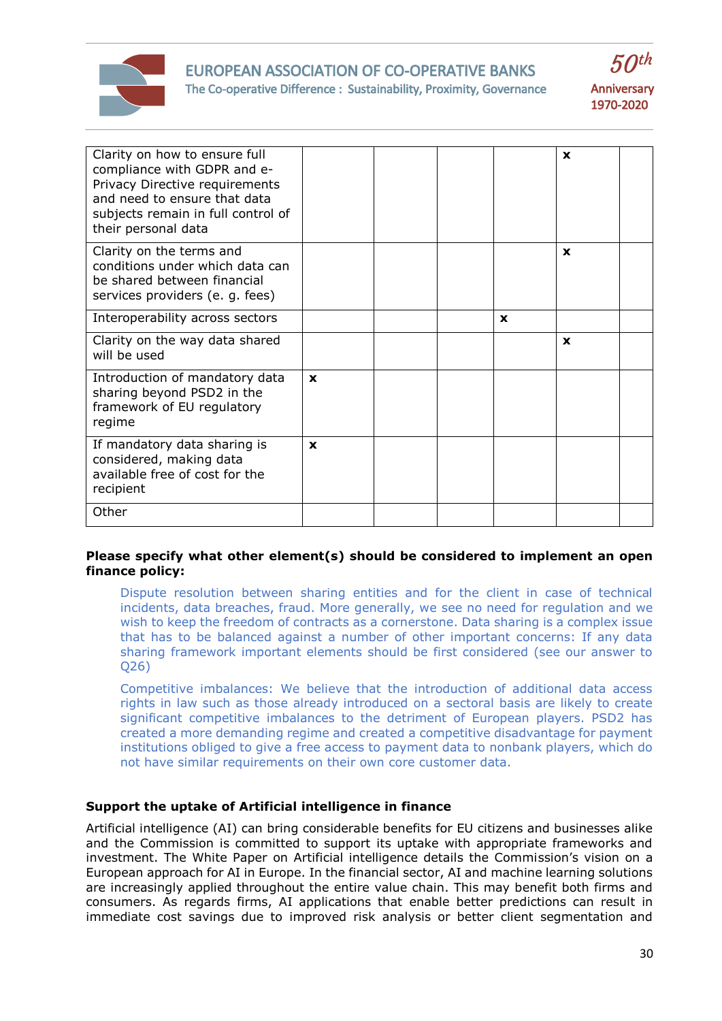

# EUROPEAN ASSOCIATION OF CO-OPERATIVE BANKS The Co-operative Difference : Sustainability, Proximity, Governance



| Clarity on how to ensure full<br>compliance with GDPR and e-<br>Privacy Directive requirements<br>and need to ensure that data<br>subjects remain in full control of<br>their personal data |              |   | X            |  |
|---------------------------------------------------------------------------------------------------------------------------------------------------------------------------------------------|--------------|---|--------------|--|
| Clarity on the terms and<br>conditions under which data can<br>be shared between financial<br>services providers (e. g. fees)                                                               |              |   | X            |  |
| Interoperability across sectors                                                                                                                                                             |              | X |              |  |
| Clarity on the way data shared<br>will be used                                                                                                                                              |              |   | $\mathbf{x}$ |  |
| Introduction of mandatory data<br>sharing beyond PSD2 in the<br>framework of EU regulatory<br>regime                                                                                        | $\mathbf{x}$ |   |              |  |
| If mandatory data sharing is<br>considered, making data<br>available free of cost for the<br>recipient                                                                                      | $\mathbf x$  |   |              |  |
| Other                                                                                                                                                                                       |              |   |              |  |

## **Please specify what other element(s) should be considered to implement an open finance policy:**

Dispute resolution between sharing entities and for the client in case of technical incidents, data breaches, fraud. More generally, we see no need for regulation and we wish to keep the freedom of contracts as a cornerstone. Data sharing is a complex issue that has to be balanced against a number of other important concerns: If any data sharing framework important elements should be first considered (see our answer to Q26)

Competitive imbalances: We believe that the introduction of additional data access rights in law such as those already introduced on a sectoral basis are likely to create significant competitive imbalances to the detriment of European players. PSD2 has created a more demanding regime and created a competitive disadvantage for payment institutions obliged to give a free access to payment data to nonbank players, which do not have similar requirements on their own core customer data.

#### **Support the uptake of Artificial intelligence in finance**

Artificial intelligence (AI) can bring considerable benefits for EU citizens and businesses alike and the Commission is committed to support its uptake with appropriate frameworks and investment. The White Paper on Artificial intelligence details the Commission's vision on a European approach for AI in Europe. In the financial sector, AI and machine learning solutions are increasingly applied throughout the entire value chain. This may benefit both firms and consumers. As regards firms, AI applications that enable better predictions can result in immediate cost savings due to improved risk analysis or better client segmentation and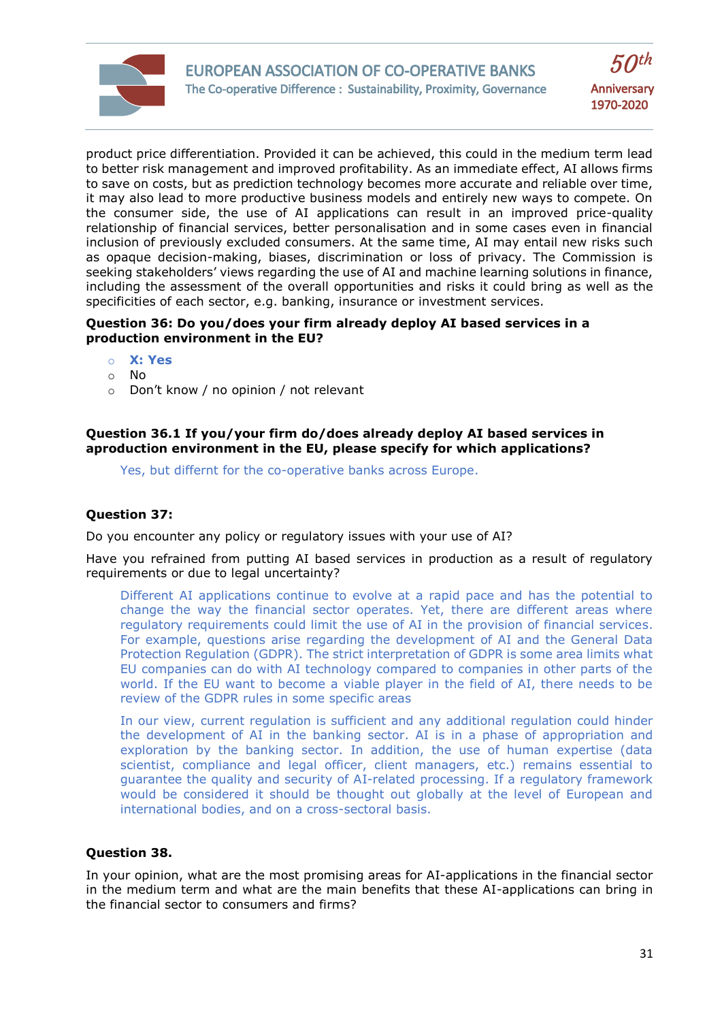

product price differentiation. Provided it can be achieved, this could in the medium term lead to better risk management and improved profitability. As an immediate effect, AI allows firms to save on costs, but as prediction technology becomes more accurate and reliable over time, it may also lead to more productive business models and entirely new ways to compete. On the consumer side, the use of AI applications can result in an improved price-quality relationship of financial services, better personalisation and in some cases even in financial inclusion of previously excluded consumers. At the same time, AI may entail new risks such as opaque decision-making, biases, discrimination or loss of privacy. The Commission is seeking stakeholders' views regarding the use of AI and machine learning solutions in finance, including the assessment of the overall opportunities and risks it could bring as well as the specificities of each sector, e.g. banking, insurance or investment services.

## **Question 36: Do you/does your firm already deploy AI based services in a production environment in the EU?**

- o **X: Yes**
- o No
- o Don't know / no opinion / not relevant

## **Question 36.1 If you/your firm do/does already deploy AI based services in aproduction environment in the EU, please specify for which applications?**

Yes, but differnt for the co-operative banks across Europe.

# **Question 37:**

Do you encounter any policy or regulatory issues with your use of AI?

Have you refrained from putting AI based services in production as a result of regulatory requirements or due to legal uncertainty?

Different AI applications continue to evolve at a rapid pace and has the potential to change the way the financial sector operates. Yet, there are different areas where regulatory requirements could limit the use of AI in the provision of financial services. For example, questions arise regarding the development of AI and the General Data Protection Regulation (GDPR). The strict interpretation of GDPR is some area limits what EU companies can do with AI technology compared to companies in other parts of the world. If the EU want to become a viable player in the field of AI, there needs to be review of the GDPR rules in some specific areas

In our view, current regulation is sufficient and any additional regulation could hinder the development of AI in the banking sector. AI is in a phase of appropriation and exploration by the banking sector. In addition, the use of human expertise (data scientist, compliance and legal officer, client managers, etc.) remains essential to guarantee the quality and security of AI-related processing. If a regulatory framework would be considered it should be thought out globally at the level of European and international bodies, and on a cross-sectoral basis.

#### **Question 38.**

In your opinion, what are the most promising areas for AI-applications in the financial sector in the medium term and what are the main benefits that these AI-applications can bring in the financial sector to consumers and firms?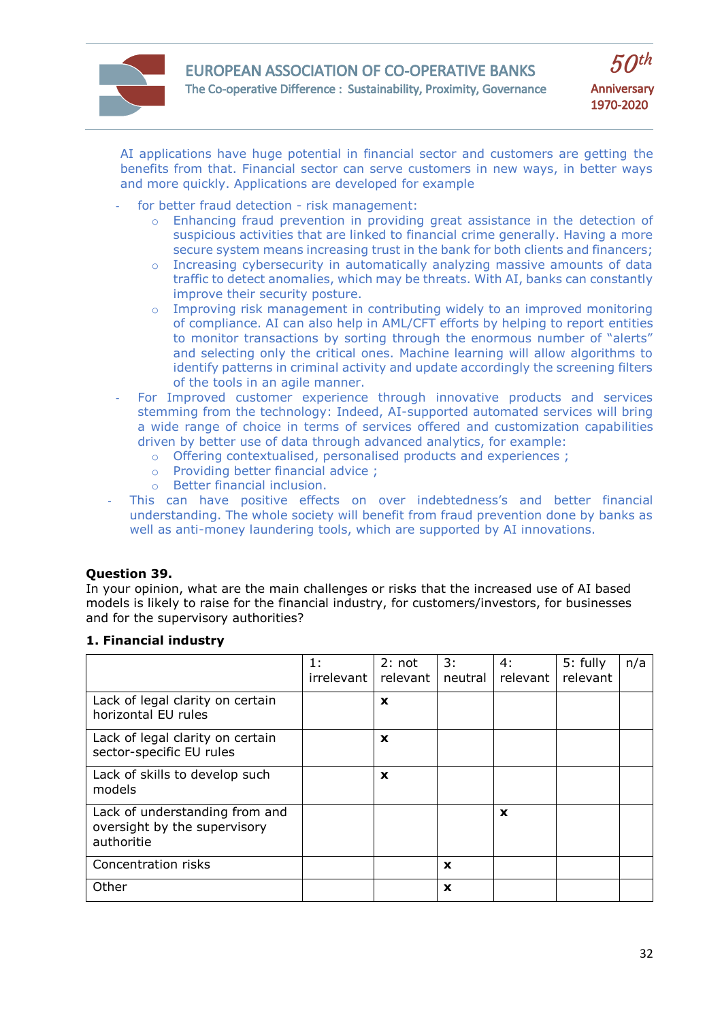

AI applications have huge potential in financial sector and customers are getting the benefits from that. Financial sector can serve customers in new ways, in better ways and more quickly. Applications are developed for example

- for better fraud detection risk management:
	- o Enhancing fraud prevention in providing great assistance in the detection of suspicious activities that are linked to financial crime generally. Having a more secure system means increasing trust in the bank for both clients and financers;
	- o Increasing cybersecurity in automatically analyzing massive amounts of data traffic to detect anomalies, which may be threats. With AI, banks can constantly improve their security posture.
	- $\circ$  Improving risk management in contributing widely to an improved monitoring of compliance. AI can also help in AML/CFT efforts by helping to report entities to monitor transactions by sorting through the enormous number of "alerts" and selecting only the critical ones. Machine learning will allow algorithms to identify patterns in criminal activity and update accordingly the screening filters of the tools in an agile manner.
- For Improved customer experience through innovative products and services stemming from the technology: Indeed, AI-supported automated services will bring a wide range of choice in terms of services offered and customization capabilities driven by better use of data through advanced analytics, for example:
	- o Offering contextualised, personalised products and experiences ;
	- o Providing better financial advice ;
	- o Better financial inclusion.
- This can have positive effects on over indebtedness's and better financial understanding. The whole society will benefit from fraud prevention done by banks as well as anti-money laundering tools, which are supported by AI innovations.

# **Question 39.**

In your opinion, what are the main challenges or risks that the increased use of AI based models is likely to raise for the financial industry, for customers/investors, for businesses and for the supervisory authorities?

#### 1: irrelevant 2: not relevant 3: neutral 4: relevant 5: fully relevant Lack of legal clarity on certain horizontal EU rules **x** Lack of legal clarity on certain sector-specific EU rules **x** Lack of skills to develop such models **x** Lack of understanding from and oversight by the supervisory authoritie **x** Concentration risks **x** Other **x**

#### **1. Financial industry**

n/a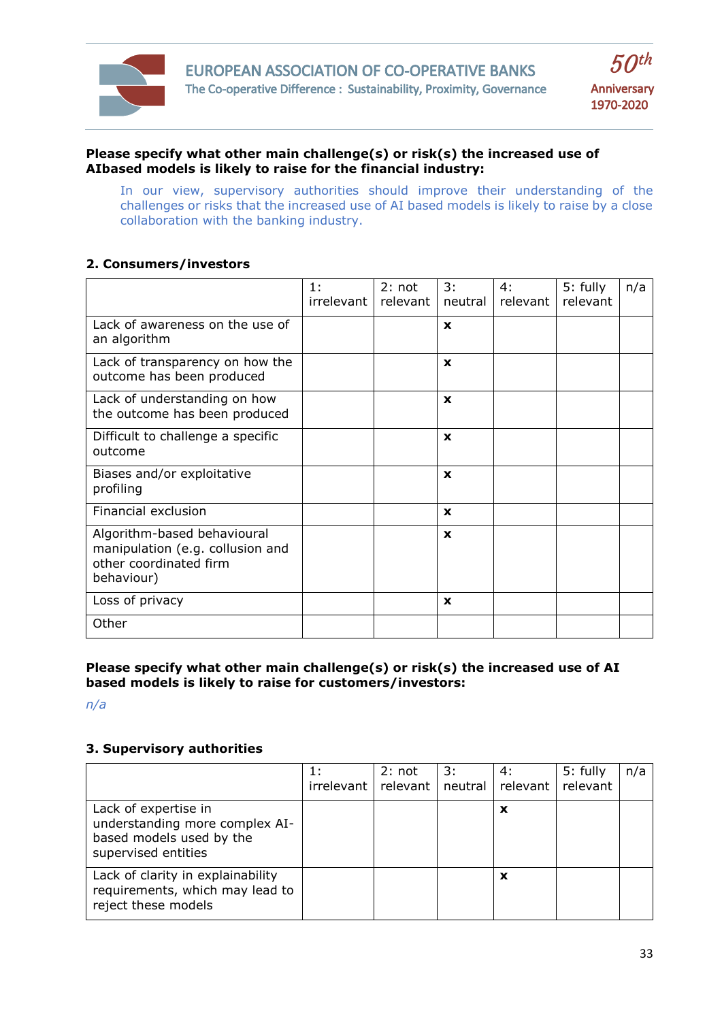

## **Please specify what other main challenge(s) or risk(s) the increased use of AIbased models is likely to raise for the financial industry:**

In our view, supervisory authorities should improve their understanding of the challenges or risks that the increased use of AI based models is likely to raise by a close collaboration with the banking industry.

# **2. Consumers/investors**

|                                                                                                         | 1:<br>irrelevant | 2: not<br>relevant | 3:<br>neutral | 4:<br>relevant | 5: fully<br>relevant | n/a |
|---------------------------------------------------------------------------------------------------------|------------------|--------------------|---------------|----------------|----------------------|-----|
| Lack of awareness on the use of<br>an algorithm                                                         |                  |                    | X             |                |                      |     |
| Lack of transparency on how the<br>outcome has been produced                                            |                  |                    | X             |                |                      |     |
| Lack of understanding on how<br>the outcome has been produced                                           |                  |                    | X             |                |                      |     |
| Difficult to challenge a specific<br>outcome                                                            |                  |                    | $\mathbf{x}$  |                |                      |     |
| Biases and/or exploitative<br>profiling                                                                 |                  |                    | X             |                |                      |     |
| Financial exclusion                                                                                     |                  |                    | $\mathbf x$   |                |                      |     |
| Algorithm-based behavioural<br>manipulation (e.g. collusion and<br>other coordinated firm<br>behaviour) |                  |                    | $\mathbf{x}$  |                |                      |     |
| Loss of privacy                                                                                         |                  |                    | $\mathbf x$   |                |                      |     |
| Other                                                                                                   |                  |                    |               |                |                      |     |

**Please specify what other main challenge(s) or risk(s) the increased use of AI based models is likely to raise for customers/investors:**

*n/a*

# **3. Supervisory authorities**

|                                                                                                           | irrelevant | 2: not<br>relevant | 3: | 4:<br>neutral   relevant | 5: fully<br>relevant | n/a |
|-----------------------------------------------------------------------------------------------------------|------------|--------------------|----|--------------------------|----------------------|-----|
| Lack of expertise in<br>understanding more complex AI-<br>based models used by the<br>supervised entities |            |                    |    | x                        |                      |     |
| Lack of clarity in explainability<br>requirements, which may lead to<br>reject these models               |            |                    |    | X                        |                      |     |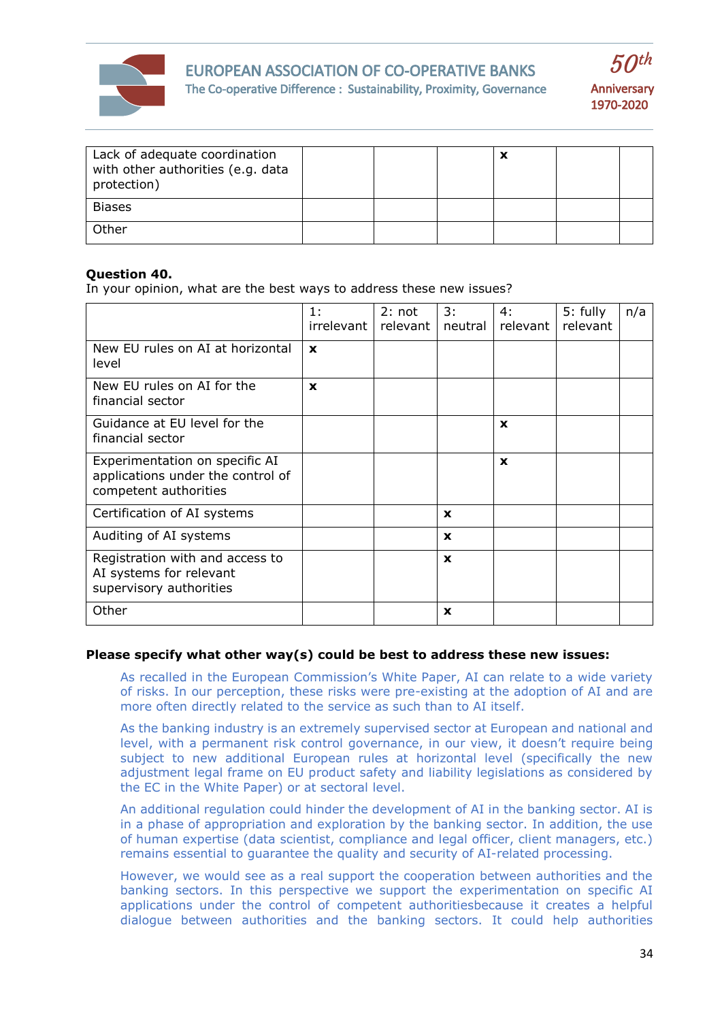



| Lack of adequate coordination<br>with other authorities (e.g. data<br>protection) |  | ↗ |  |
|-----------------------------------------------------------------------------------|--|---|--|
| <b>Biases</b>                                                                     |  |   |  |
| Other                                                                             |  |   |  |

## **Question 40.**

In your opinion, what are the best ways to address these new issues?

|                                                                                              | 1:<br>irrelevant   relevant | 2: not | 3:<br>neutral | 4:<br>relevant l | 5: fully<br>relevant | n/a |
|----------------------------------------------------------------------------------------------|-----------------------------|--------|---------------|------------------|----------------------|-----|
| New EU rules on AI at horizontal<br>level                                                    | X                           |        |               |                  |                      |     |
| New EU rules on AI for the<br>financial sector                                               | $\mathbf x$                 |        |               |                  |                      |     |
| Guidance at EU level for the<br>financial sector                                             |                             |        |               | X                |                      |     |
| Experimentation on specific AI<br>applications under the control of<br>competent authorities |                             |        |               | X                |                      |     |
| Certification of AI systems                                                                  |                             |        | $\mathbf{x}$  |                  |                      |     |
| Auditing of AI systems                                                                       |                             |        | $\mathbf x$   |                  |                      |     |
| Registration with and access to<br>AI systems for relevant<br>supervisory authorities        |                             |        | $\mathbf x$   |                  |                      |     |
| Other                                                                                        |                             |        | $\mathbf x$   |                  |                      |     |

#### **Please specify what other way(s) could be best to address these new issues:**

As recalled in the European Commission's White Paper, AI can relate to a wide variety of risks. In our perception, these risks were pre-existing at the adoption of AI and are more often directly related to the service as such than to AI itself.

As the banking industry is an extremely supervised sector at European and national and level, with a permanent risk control governance, in our view, it doesn't require being subject to new additional European rules at horizontal level (specifically the new adjustment legal frame on EU product safety and liability legislations as considered by the EC in the White Paper) or at sectoral level.

An additional regulation could hinder the development of AI in the banking sector. AI is in a phase of appropriation and exploration by the banking sector. In addition, the use of human expertise (data scientist, compliance and legal officer, client managers, etc.) remains essential to guarantee the quality and security of AI-related processing.

However, we would see as a real support the cooperation between authorities and the banking sectors. In this perspective we support the experimentation on specific AI applications under the control of competent authoritiesbecause it creates a helpful dialogue between authorities and the banking sectors. It could help authorities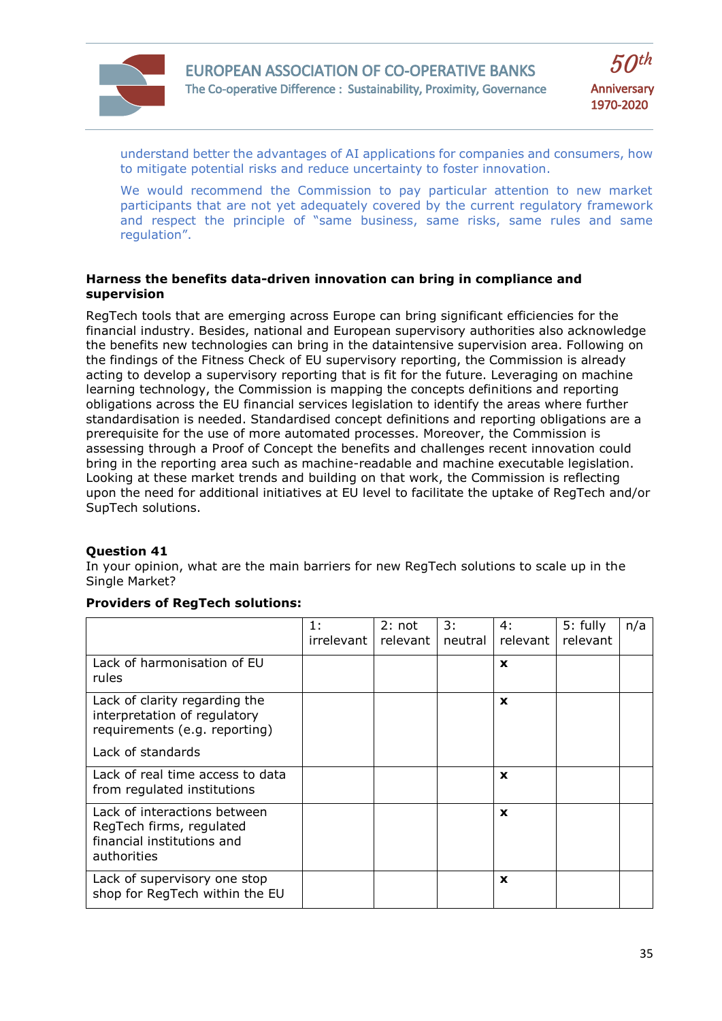

understand better the advantages of AI applications for companies and consumers, how to mitigate potential risks and reduce uncertainty to foster innovation.

We would recommend the Commission to pay particular attention to new market participants that are not yet adequately covered by the current regulatory framework and respect the principle of "same business, same risks, same rules and same regulation".

## **Harness the benefits data-driven innovation can bring in compliance and supervision**

RegTech tools that are emerging across Europe can bring significant efficiencies for the financial industry. Besides, national and European supervisory authorities also acknowledge the benefits new technologies can bring in the dataintensive supervision area. Following on the findings of the Fitness Check of EU supervisory reporting, the Commission is already acting to develop a supervisory reporting that is fit for the future. Leveraging on machine learning technology, the Commission is mapping the concepts definitions and reporting obligations across the EU financial services legislation to identify the areas where further standardisation is needed. Standardised concept definitions and reporting obligations are a prerequisite for the use of more automated processes. Moreover, the Commission is assessing through a Proof of Concept the benefits and challenges recent innovation could bring in the reporting area such as machine-readable and machine executable legislation. Looking at these market trends and building on that work, the Commission is reflecting upon the need for additional initiatives at EU level to facilitate the uptake of RegTech and/or SupTech solutions.

# **Question 41**

In your opinion, what are the main barriers for new RegTech solutions to scale up in the Single Market?

# **Providers of RegTech solutions:**

|                                                                                                       | 1:<br>irrelevant I | 2: not<br>relevant | 3:<br>neutral | 4:<br>relevant | 5: fully<br>relevant | n/a |
|-------------------------------------------------------------------------------------------------------|--------------------|--------------------|---------------|----------------|----------------------|-----|
| Lack of harmonisation of EU<br>rules                                                                  |                    |                    |               | X              |                      |     |
| Lack of clarity regarding the<br>interpretation of regulatory<br>requirements (e.g. reporting)        |                    |                    |               | $\mathbf x$    |                      |     |
| Lack of standards                                                                                     |                    |                    |               |                |                      |     |
| Lack of real time access to data<br>from regulated institutions                                       |                    |                    |               | $\mathbf x$    |                      |     |
| Lack of interactions between<br>RegTech firms, regulated<br>financial institutions and<br>authorities |                    |                    |               | $\mathbf x$    |                      |     |
| Lack of supervisory one stop<br>shop for RegTech within the EU                                        |                    |                    |               | X              |                      |     |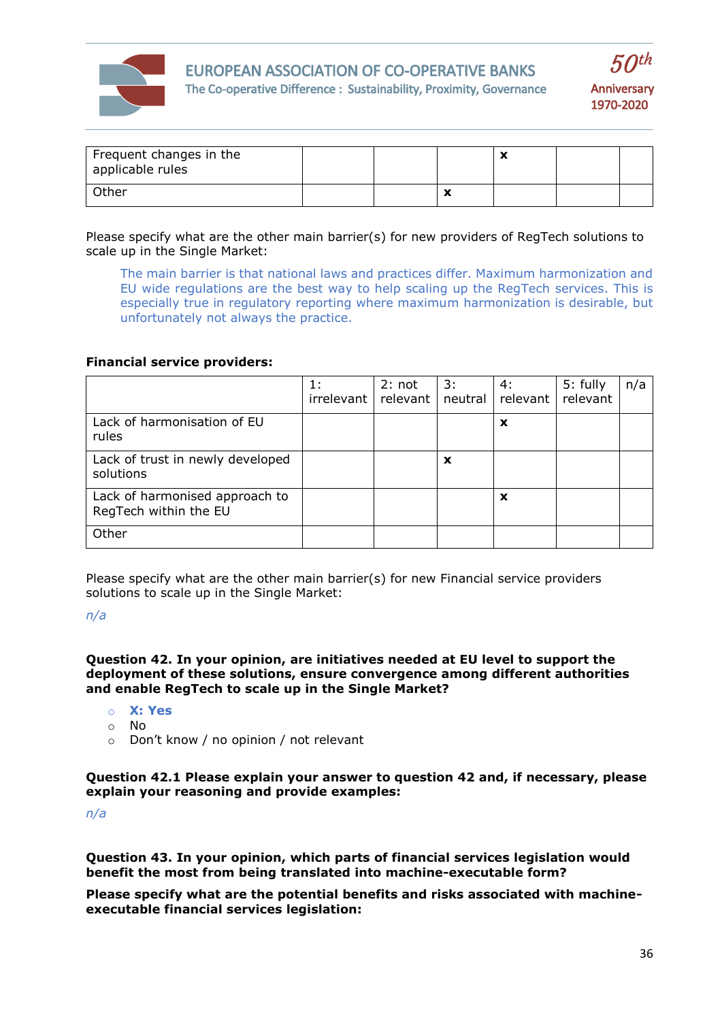

# EUROPEAN ASSOCIATION OF CO-OPERATIVE BANKS The Co-operative Difference : Sustainability, Proximity, Governance



| Frequent changes in the<br>applicable rules |  |                          | v<br>$\boldsymbol{\mathcal{L}}$ |  |
|---------------------------------------------|--|--------------------------|---------------------------------|--|
| Other                                       |  | $\overline{\phantom{a}}$ |                                 |  |

## Please specify what are the other main barrier(s) for new providers of RegTech solutions to scale up in the Single Market:

The main barrier is that national laws and practices differ. Maximum harmonization and EU wide regulations are the best way to help scaling up the RegTech services. This is especially true in regulatory reporting where maximum harmonization is desirable, but unfortunately not always the practice.

# **Financial service providers:**

|                                                         | 1:         | 2: not   | 3:      | 4:       | 5: fully | n/a |
|---------------------------------------------------------|------------|----------|---------|----------|----------|-----|
|                                                         | irrelevant | relevant | neutral | relevant | relevant |     |
| Lack of harmonisation of EU<br>rules                    |            |          |         | X        |          |     |
| Lack of trust in newly developed<br>solutions           |            |          | X       |          |          |     |
| Lack of harmonised approach to<br>RegTech within the EU |            |          |         | X        |          |     |
| Other                                                   |            |          |         |          |          |     |

Please specify what are the other main barrier(s) for new Financial service providers solutions to scale up in the Single Market:

#### *n/a*

## **Question 42. In your opinion, are initiatives needed at EU level to support the deployment of these solutions, ensure convergence among different authorities and enable RegTech to scale up in the Single Market?**

- o **X: Yes**
- o No
- o Don't know / no opinion / not relevant

**Question 42.1 Please explain your answer to question 42 and, if necessary, please explain your reasoning and provide examples:**

*n/a*

**Question 43. In your opinion, which parts of financial services legislation would benefit the most from being translated into machine-executable form?**

**Please specify what are the potential benefits and risks associated with machineexecutable financial services legislation:**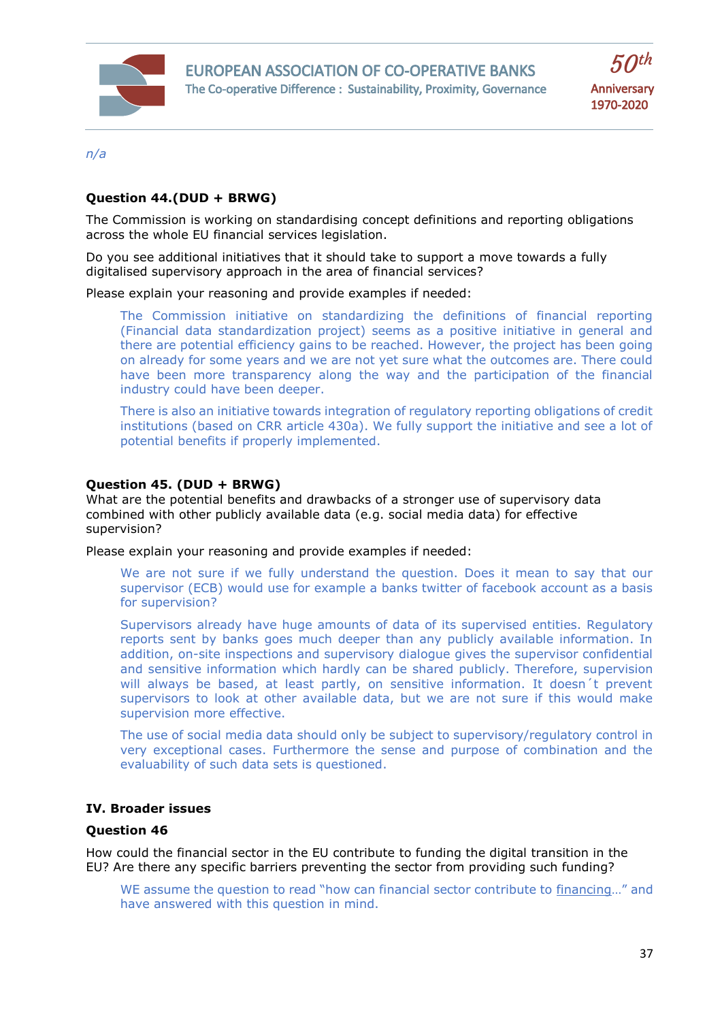



*n/a*

## **Question 44.(DUD + BRWG)**

The Commission is working on standardising concept definitions and reporting obligations across the whole EU financial services legislation.

Do you see additional initiatives that it should take to support a move towards a fully digitalised supervisory approach in the area of financial services?

Please explain your reasoning and provide examples if needed:

The Commission initiative on standardizing the definitions of financial reporting (Financial data standardization project) seems as a positive initiative in general and there are potential efficiency gains to be reached. However, the project has been going on already for some years and we are not yet sure what the outcomes are. There could have been more transparency along the way and the participation of the financial industry could have been deeper.

There is also an initiative towards integration of regulatory reporting obligations of credit institutions (based on CRR article 430a). We fully support the initiative and see a lot of potential benefits if properly implemented.

## **Question 45. (DUD + BRWG)**

What are the potential benefits and drawbacks of a stronger use of supervisory data combined with other publicly available data (e.g. social media data) for effective supervision?

Please explain your reasoning and provide examples if needed:

We are not sure if we fully understand the question. Does it mean to say that our supervisor (ECB) would use for example a banks twitter of facebook account as a basis for supervision?

Supervisors already have huge amounts of data of its supervised entities. Regulatory reports sent by banks goes much deeper than any publicly available information. In addition, on-site inspections and supervisory dialogue gives the supervisor confidential and sensitive information which hardly can be shared publicly. Therefore, supervision will always be based, at least partly, on sensitive information. It doesn´t prevent supervisors to look at other available data, but we are not sure if this would make supervision more effective.

The use of social media data should only be subject to supervisory/regulatory control in very exceptional cases. Furthermore the sense and purpose of combination and the evaluability of such data sets is questioned.

## **IV. Broader issues**

## **Question 46**

How could the financial sector in the EU contribute to funding the digital transition in the EU? Are there any specific barriers preventing the sector from providing such funding?

WE assume the question to read "how can financial sector contribute to financing…" and have answered with this question in mind.